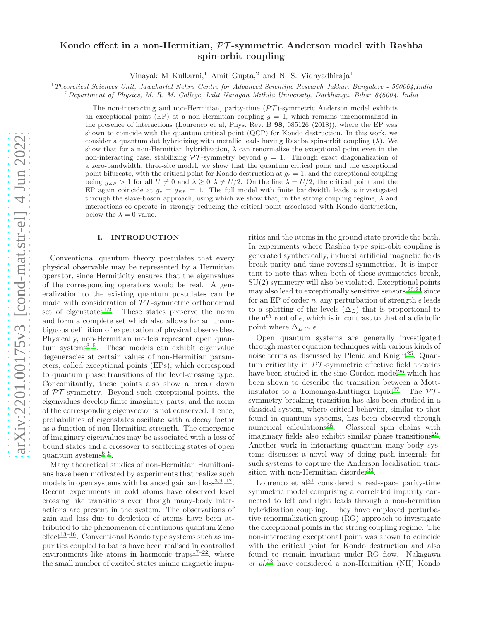# arXiv:2201.00175v3 [cond-mat.str-el] 4 Jun 2022 [arXiv:2201.00175v3 \[cond-mat.str-el\] 4 Jun 2022](http://arxiv.org/abs/2201.00175v3)

# Kondo effect in a non-Hermitian, PT -symmetric Anderson model with Rashba spin-orbit coupling

Vinayak M Kulkarni,<sup>1</sup> Amit Gupta,<sup>2</sup> and N. S. Vidhyadhiraja<sup>1</sup>

<sup>1</sup> Theoretical Sciences Unit, Jawaharlal Nehru Centre for Advanced Scientific Research Jakkur, Bangalore - 560064,India

 $2$ Department of Physics, M. R. M. College, Lalit Narayan Mithila University, Darbhanga, Bihar 846004, India

The non-interacting and non-Hermitian, parity-time  $(\mathcal{PT})$ -symmetric Anderson model exhibits an exceptional point (EP) at a non-Hermitian coupling  $g = 1$ , which remains unrenormalized in the presence of interactions (Lourenco et al, Phys. Rev. B 98, 085126 (2018)), where the EP was shown to coincide with the quantum critical point (QCP) for Kondo destruction. In this work, we consider a quantum dot hybridizing with metallic leads having Rashba spin-orbit coupling  $(\lambda)$ . We show that for a non-Hermitian hybridization,  $\lambda$  can renormalize the exceptional point even in the non-interacting case, stabilizing  $\mathcal{PT}$ -symmetry beyond  $g = 1$ . Through exact diagonalization of a zero-bandwidth, three-site model, we show that the quantum critical point and the exceptional point bifurcate, with the critical point for Kondo destruction at  $q_c = 1$ , and the exceptional coupling being  $g_{EP} > 1$  for all  $U \neq 0$  and  $\lambda \geq 0$ ;  $\lambda \neq U/2$ . On the line  $\lambda = U/2$ , the critical point and the EP again coincide at  $g_c = g_{EP} = 1$ . The full model with finite bandwidth leads is investigated through the slave-boson approach, using which we show that, in the strong coupling regime,  $\lambda$  and interactions co-operate in strongly reducing the critical point associated with Kondo destruction, below the  $\lambda = 0$  value.

### I. INTRODUCTION

Conventional quantum theory postulates that every physical observable may be represented by a Hermitian operator, since Hermiticity ensures that the eigenvalues of the corresponding operators would be real. A generalization to the existing quantum postulates can be made with consideration of  $\mathcal{PT}$ -symmetric orthonormal set of eigenstates<sup>[1](#page-15-0)[,2](#page-15-1)</sup>. These states preserve the norm and form a complete set which also allows for an unambiguous definition of expectation of physical observables. Physically, non-Hermitian models represent open quantum systems $3-5$  $3-5$ . These models can exhibit eigenvalue degeneracies at certain values of non-Hermitian parameters, called exceptional points (EPs), which correspond to quantum phase transitions of the level-crossing type. Concomitantly, these points also show a break down of  $PT$ -symmetry. Beyond such exceptional points, the eigenvalues develop finite imaginary parts, and the norm of the corresponding eigenvector is not conserved. Hence, probabilities of eigenstates oscillate with a decay factor as a function of non-Hermitian strength. The emergence of imaginary eigenvalues may be associated with a loss of bound states and a crossover to scattering states of open  $quantum$  systems<sup>[6](#page-15-4)[–8](#page-15-5)</sup>.

Many theoretical studies of non-Hermitian Hamiltonians have been motivated by experiments that realize such models in open systems with balanced gain and  $loss^{3,9-12}$  $loss^{3,9-12}$  $loss^{3,9-12}$  $loss^{3,9-12}$ . Recent experiments in cold atoms have observed level crossing like transitions even though many-body interactions are present in the system. The observations of gain and loss due to depletion of atoms have been attributed to the phenomenon of continuous quantum Zeno  $effect^{13-16}$  $effect^{13-16}$  $effect^{13-16}$ . Conventional Kondo type systems such as impurities coupled to baths have been realised in controlled environments like atoms in harmonic traps<sup>[17](#page-15-10)[–22](#page-15-11)</sup>, where the small number of excited states mimic magnetic impu-

rities and the atoms in the ground state provide the bath. In experiments where Rashba type spin-obit coupling is generated synthetically, induced artificial magnetic fields break parity and time reversal symmetries. It is important to note that when both of these symmetries break, SU(2) symmetry will also be violated. Exceptional points may also lead to exceptionally sensitive sensors  $23.2\overline{4}$  $23.2\overline{4}$  since for an EP of order n, any perturbation of strength  $\epsilon$  leads to a splitting of the levels  $(\Delta_L)$  that is proportional to the  $n^{t\bar{h}}$  root of  $\epsilon$ , which is in contrast to that of a diabolic point where  $\Delta_L \sim \epsilon$ .

Open quantum systems are generally investigated through master equation techniques with various kinds of noise terms as discussed by Plenio and Knight<sup>[25](#page-15-14)</sup>. Quantum criticality in  $PT$ -symmetric effective field theories have been studied in the sine-Gordon model<sup>[26](#page-15-15)</sup> which has been shown to describe the transition between a Mott-insulator to a Tomonaga-Luttinger liquid<sup>[27](#page-15-16)</sup>. The  $\mathcal{PT}$ symmetry breaking transition has also been studied in a classical system, where critical behavior, similar to that found in quantum systems, has been observed through numerical calculations<sup>[28](#page-15-17)</sup>. Classical spin chains with imaginary fields also exhibit similar phase transitions<sup>[29](#page-16-0)</sup>. Another work in interacting quantum many-body systems discusses a novel way of doing path integrals for such systems to capture the Anderson localisation tran-sition with non-Hermitian disorder<sup>[30](#page-16-1)</sup>.

Lourenco et  $al^{31}$  $al^{31}$  $al^{31}$  considered a real-space parity-time symmetric model comprising a correlated impurity connected to left and right leads through a non-hermitian hybridization coupling. They have employed perturbative renormalization group (RG) approach to investigate the exceptional points in the strong coupling regime. The non-interacting exceptional point was shown to coincide with the critical point for Kondo destruction and also found to remain invariant under RG flow. Nakagawa  $et \ al.<sup>32</sup>$  $et \ al.<sup>32</sup>$  $et \ al.<sup>32</sup>$  have considered a non-Hermitian (NH) Kondo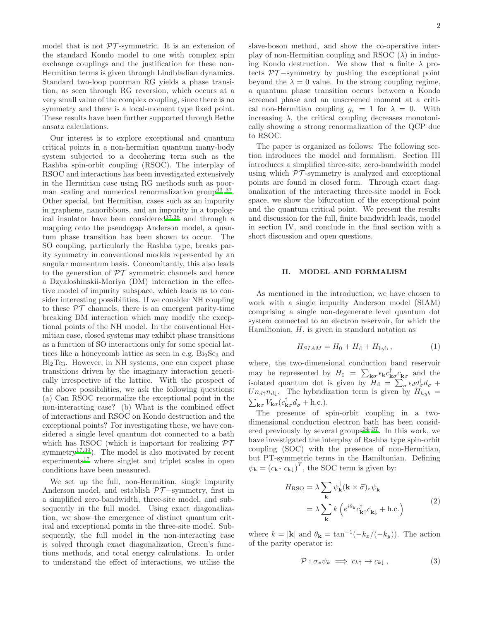model that is not  $\mathcal{PT}$ -symmetric. It is an extension of the standard Kondo model to one with complex spin exchange couplings and the justification for these non-Hermitian terms is given through Lindbladian dynamics. Standard two-loop poorman RG yields a phase transition, as seen through RG reversion, which occurs at a very small value of the complex coupling, since there is no symmetry and there is a local-moment type fixed point. These results have been further supported through Bethe ansatz calculations.

Our interest is to explore exceptional and quantum critical points in a non-hermitian quantum many-body system subjected to a decohering term such as the Rashba spin-orbit coupling (RSOC). The interplay of RSOC and interactions has been investigated extensively in the Hermitian case using RG methods such as poor-man scaling and numerical renormalization group<sup>[33](#page-16-4)-37</sup>. Other special, but Hermitian, cases such as an impurity in graphene, nanoribbons, and an impurity in a topological insulator have been considered $37,38$  $37,38$  and through a mapping onto the pseudogap Anderson model, a quantum phase transition has been shown to occur. The SO coupling, particularly the Rashba type, breaks parity symmetry in conventional models represented by an angular momentum basis. Concomitantly, this also leads to the generation of  $\mathcal{PT}$  symmetric channels and hence a Dzyaloshinskii-Moriya (DM) interaction in the effective model of impurity subspace, which leads us to consider interesting possibilities. If we consider NH coupling to these  $\mathcal{PT}$  channels, there is an emergent parity-time breaking DM interaction which may modify the exceptional points of the NH model. In the conventional Hermitian case, closed systems may exhibit phase transitions as a function of SO interactions only for some special lattices like a honeycomb lattice as seen in e.g.  $Bi<sub>2</sub>Se<sub>3</sub>$  and Bi2Te3. However, in NH systems, one can expect phase transitions driven by the imaginary interaction generically irrespective of the lattice. With the prospect of the above possibilities, we ask the following questions: (a) Can RSOC renormalize the exceptional point in the non-interacting case? (b) What is the combined effect of interactions and RSOC on Kondo destruction and the exceptional points? For investigating these, we have considered a single level quantum dot connected to a bath which has RSOC (which is important for realizing  $\mathcal{PT}$ symmetry<sup>[17](#page-15-10)[,39](#page-16-7)</sup>). The model is also motivated by recent  $experiments<sup>17</sup>$  $experiments<sup>17</sup>$  $experiments<sup>17</sup>$  where singlet and triplet scales in open conditions have been measured.

We set up the full, non-Hermitian, single impurity Anderson model, and establish  $\mathcal{PT}-symmetry$ , first in a simplified zero-bandwidth, three-site model, and subsequently in the full model. Using exact diagonalization, we show the emergence of distinct quantum critical and exceptional points in the three-site model. Subsequently, the full model in the non-interacting case is solved through exact diagonalization, Green's functions methods, and total energy calculations. In order to understand the effect of interactions, we utilise the

slave-boson method, and show the co-operative interplay of non-Hermitian coupling and RSOC  $(\lambda)$  in inducing Kondo destruction. We show that a finite  $\lambda$  protects  $\mathcal{PT}-symmetry$  by pushing the exceptional point beyond the  $\lambda = 0$  value. In the strong coupling regime, a quantum phase transition occurs between a Kondo screened phase and an unscreened moment at a critical non-Hermitian coupling  $g_c = 1$  for  $\lambda = 0$ . With increasing  $\lambda$ , the critical coupling decreases monotonically showing a strong renormalization of the QCP due to RSOC.

The paper is organized as follows: The following section introduces the model and formalism. Section III introduces a simplified three-site, zero-bandwidth model using which  $\mathcal{PT}$ -symmetry is analyzed and exceptional points are found in closed form. Through exact diagonalization of the interacting three-site model in Fock space, we show the bifurcation of the exceptional point and the quantum critical point. We present the results and discussion for the full, finite bandwidth leads, model in section IV, and conclude in the final section with a short discussion and open questions.

### II. MODEL AND FORMALISM

As mentioned in the introduction, we have chosen to work with a single impurity Anderson model (SIAM) comprising a single non-degenerate level quantum dot system connected to an electron reservoir, for which the Hamiltonian,  $H$ , is given in standard notation as

$$
H_{SIAM} = H_0 + H_d + H_{\text{hyb}}\,,\tag{1}
$$

where, the two-dimensional conduction band reservoir may be represented by  $H_0 = \sum_{\mathbf{k}\sigma} \epsilon_{\mathbf{k}} c_{\mathbf{k}\sigma}^{\dagger} c_{\mathbf{k}\sigma}$  and the isolated quantum dot is given by  $H_d = \sum_{\sigma} \epsilon_d d_{\sigma}^{\dagger} d_{\sigma} +$  $Un_{d\uparrow}n_{d\downarrow}$ . The hybridization term is given by  $H_{hyb}$  =  $\sum_{\mathbf{k}\sigma} V_{\mathbf{k}\sigma} (c_{\mathbf{k}\sigma}^{\dagger} d_{\sigma} + \text{h.c.}).$ 

The presence of spin-orbit coupling in a twodimensional conduction electron bath has been considered previously by several groups $34-37$  $34-37$ . In this work, we have investigated the interplay of Rashba type spin-orbit coupling (SOC) with the presence of non-Hermitian, but PT-symmetric terms in the Hamiltonian. Defining  $\psi_{\mathbf{k}} = (c_{\mathbf{k}\uparrow} c_{\mathbf{k}\downarrow})^T$ , the SOC term is given by:

$$
H_{\text{RSO}} = \lambda \sum_{\mathbf{k}} \psi_{\mathbf{k}}^{\dagger} (\mathbf{k} \times \vec{\sigma})_z \psi_{\mathbf{k}}
$$

$$
= \lambda \sum_{\mathbf{k}} k \left( e^{i\theta_{\mathbf{k}}} c_{\mathbf{k}\uparrow}^{\dagger} c_{\mathbf{k}\downarrow} + \text{h.c.} \right)
$$
(2)

where  $k = |\mathbf{k}|$  and  $\theta_{\mathbf{k}} = \tan^{-1}(-k_x/(-k_y))$ . The action of the parity operator is:

$$
\mathcal{P}: \sigma_x \psi_k \implies c_{k\uparrow} \to c_{k\downarrow}, \tag{3}
$$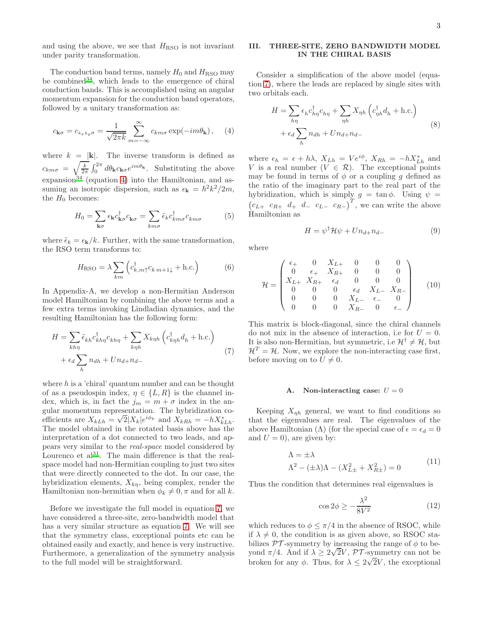and using the above, we see that  $H_{\rm RSO}$  is not invariant under parity transformation.

The conduction band terms, namely  $H_0$  and  $H_{\rm RSO}$  may be combined  $34$ , which leads to the emergence of chiral conduction bands. This is accomplished using an angular momentum expansion for the conduction band operators, followed by a unitary transformation as:

<span id="page-2-0"></span>
$$
c_{\mathbf{k}\sigma} = c_{k_x k_y \sigma} = \frac{1}{\sqrt{2\pi k}} \sum_{m=-\infty}^{\infty} c_{km\sigma} \exp(-im\theta_{\mathbf{k}}), \quad (4)
$$

where  $k = |\mathbf{k}|$ . The inverse transform is defined as  $c_{km\sigma} = \sqrt{\frac{k}{2\pi}} \int_0^{2\pi} d\theta_{\mathbf{k}} c_{\mathbf{k}\sigma} e^{im\theta_{\mathbf{k}}}$ . Substituting the above expansion<sup>[34](#page-16-8)</sup> (equation [4\)](#page-2-0) into the Hamiltonian, and assuming an isotropic dispersion, such as  $\epsilon_{\mathbf{k}} = \hbar^2 k^2 / 2m$ , the  $H_0$  becomes:

$$
H_0 = \sum_{\mathbf{k}\sigma} \epsilon_{\mathbf{k}} c_{\mathbf{k}\sigma}^{\dagger} c_{\mathbf{k}\sigma} = \sum_{km\sigma} \tilde{\epsilon}_{k} c_{km\sigma}^{\dagger} c_{km\sigma}
$$
(5)

where  $\tilde{\epsilon}_k = \epsilon_{\mathbf{k}}/k$ . Further, with the same transformation, the RSO term transforms to:

<span id="page-2-4"></span>
$$
H_{\rm RSO} = \lambda \sum_{km} \left( c_{k,m\uparrow}^{\dagger} c_{k,m+1\downarrow} + \text{h.c.} \right) \tag{6}
$$

In Appendix-A, we develop a non-Hermitian Anderson model Hamiltonian by combining the above terms and a few extra terms invoking Lindladian dynamics, and the resulting Hamiltonian has the following form:

<span id="page-2-1"></span>
$$
H = \sum_{kh\eta} \tilde{\epsilon}_{kh} c_{kh\eta}^{\dagger} c_{kh\eta} + \sum_{k\eta h} X_{k\eta h} \left( c_{k\eta h}^{\dagger} d_h + \text{h.c.} \right)
$$

$$
+ \epsilon_d \sum_{h} n_{dh} + U n_{d+} n_{d-} \tag{7}
$$

where  $h$  is a 'chiral' quantum number and can be thought of as a pseudospin index,  $\eta \in \{L, R\}$  is the channel index, which is, in fact the  $j_m = m + \sigma$  index in the angular momentum representation. The hybridization coefficients are  $X_{kLh} = \sqrt{2} |X_k| e^{i\phi_k}$  and  $X_{kRh} = -hX_{kLh}^*$ . The model obtained in the rotated basis above has the interpretation of a dot connected to two leads, and appears very similar to the real-space model considered by Lourenco et  $al^{31}$  $al^{31}$  $al^{31}$ . The main difference is that the realspace model had non-Hermitian coupling to just two sites that were directly connected to the dot. In our case, the hybridization elements,  $X_{k\eta}$ , being complex, render the Hamiltonian non-hermitian when  $\phi_k \neq 0, \pi$  and for all k.

Before we investigate the full model in equation [7,](#page-2-1) we have considered a three-site, zero-bandwidth model that has a very similar structure as equation [7.](#page-2-1) We will see that the symmetry class, exceptional points etc can be obtained easily and exactly, and hence is very instructive. Furthermore, a generalization of the symmetry analysis to the full model will be straightforward.

# III. THREE-SITE, ZERO BANDWIDTH MODEL IN THE CHIRAL BASIS

Consider a simplification of the above model (equation [7\)](#page-2-1), where the leads are replaced by single sites with two orbitals each.

<span id="page-2-2"></span>
$$
H = \sum_{h\eta} \epsilon_h c_{h\eta}^\dagger c_{h\eta} + \sum_{\eta h} X_{\eta h} \left( c_{\eta h}^\dagger d_h + \text{h.c.} \right)
$$

$$
+ \epsilon_d \sum_h n_{dh} + U n_{d+} n_{d-}
$$
(8)

where  $\epsilon_h = \epsilon + h\lambda$ ,  $X_{Lh} = Ve^{i\phi}$ ,  $X_{Rh} = -hX_{Lh}^*$  and V is a real number  $(V \in \mathcal{R})$ . The exceptional points may be found in terms of  $\phi$  or a coupling g defined as the ratio of the imaginary part to the real part of the hybridization, which is simply  $g = \tan \phi$ . Using  $\psi =$  $(c_{L+}$   $c_{R+}$   $d_{+}$   $d_{-}$   $c_{L-}$   $c_{R-}$ )<sup>T</sup>, we can write the above Hamiltonian as

$$
H = \psi^{\dagger} \mathcal{H} \psi + U n_{d+} n_{d-} \tag{9}
$$

where

$$
\mathcal{H} = \begin{pmatrix}\n\epsilon_+ & 0 & X_{L+} & 0 & 0 & 0 \\
0 & \epsilon_+ & X_{R+} & 0 & 0 & 0 \\
X_{L+} & X_{R+} & \epsilon_d & 0 & 0 & 0 \\
0 & 0 & 0 & \epsilon_d & X_{L-} & X_{R-} \\
0 & 0 & 0 & X_{L-} & \epsilon_- & 0 \\
0 & 0 & 0 & X_{R-} & 0 & \epsilon_-\n\end{pmatrix}
$$
(10)

This matrix is block-diagonal, since the chiral channels do not mix in the absence of interaction, i.e for  $U = 0$ . It is also non-Hermitian, but symmetric, i.e  $\mathcal{H}^{\dagger} \neq \mathcal{H}$ , but  $\mathcal{H}^T = \mathcal{H}$ . Now, we explore the non-interacting case first, before moving on to  $U \neq 0$ .

### A. Non-interacting case:  $U = 0$

Keeping  $X_{\eta h}$  general, we want to find conditions so that the eigenvalues are real. The eigenvalues of the above Hamiltonian (Λ) (for the special case of  $\epsilon = \epsilon_d = 0$ and  $U = 0$ , are given by:

$$
\Lambda = \pm \lambda
$$
  

$$
\Lambda^2 - (\pm \lambda)\Lambda - (X_{L\pm}^2 + X_{R\pm}^2) = 0
$$
 (11)

Thus the condition that determines real eigenvalues is

<span id="page-2-3"></span>
$$
\cos 2\phi \ge -\frac{\lambda^2}{8V^2} \tag{12}
$$

which reduces to  $\phi \leq \pi/4$  in the absence of RSOC, while if  $\lambda \neq 0$ , the condition is as given above, so RSOC stabilizes  $\mathcal{PT}$ -symmetry by increasing the range of  $\phi$  to beyond  $\pi/4$ . And if  $\lambda \ge 2\sqrt{2}V$ ,  $\mathcal{P}\mathcal{T}$ -symmetry can not be broken for any  $\phi$ . Thus, for  $\lambda \leq 2\sqrt{2}V$ , the exceptional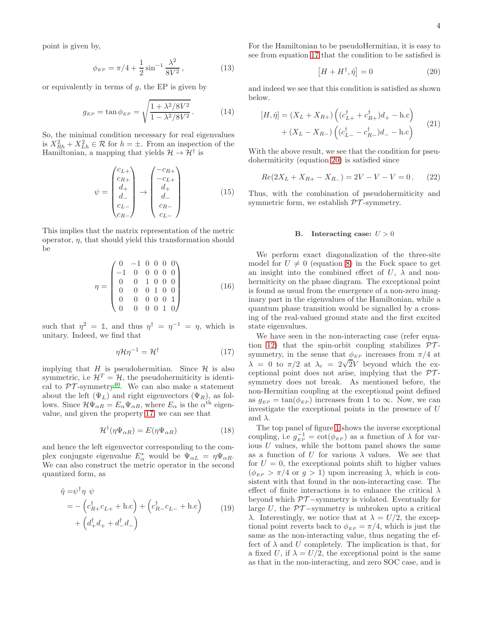point is given by,

$$
\phi_{EP} = \pi/4 + \frac{1}{2}\sin^{-1}\frac{\lambda^2}{8V^2},\tag{13}
$$

or equivalently in terms of  $g$ , the EP is given by

$$
g_{EP} = \tan \phi_{EP} = \sqrt{\frac{1 + \lambda^2 / 8V^2}{1 - \lambda^2 / 8V^2}}.
$$
 (14)

So, the minimal condition necessary for real eigenvalues is  $X_{Rh}^2 + X_{Lh}^2 \in \mathcal{R}$  for  $h = \pm$ . From an inspection of the Hamiltonian, a mapping that yields  $\mathcal{H} \to \mathcal{H}^{\dagger}$  is

$$
\psi = \begin{pmatrix} c_{L+} \\ c_{R+} \\ d_+ \\ d_- \\ c_{L-} \\ c_{R-} \end{pmatrix} \rightarrow \begin{pmatrix} -c_{R+} \\ -c_{L+} \\ d_+ \\ d_- \\ c_{R-} \\ c_{L-} \end{pmatrix}
$$
(15)

This implies that the matrix representation of the metric operator,  $\eta$ , that should yield this transformation should be

$$
\eta = \begin{pmatrix}\n0 & -1 & 0 & 0 & 0 & 0 \\
-1 & 0 & 0 & 0 & 0 & 0 \\
0 & 0 & 1 & 0 & 0 & 0 \\
0 & 0 & 0 & 1 & 0 & 0 \\
0 & 0 & 0 & 0 & 0 & 1 \\
0 & 0 & 0 & 0 & 1 & 0\n\end{pmatrix}
$$
\n(16)

such that  $\eta^2 = 1$ , and thus  $\eta^{\dagger} = \eta^{-1} = \eta$ , which is unitary. Indeed, we find that

<span id="page-3-0"></span>
$$
\eta \mathcal{H} \eta^{-1} = \mathcal{H}^{\dagger} \tag{17}
$$

implying that H is pseudohermitian. Since  $H$  is also symmetric, i.e  $\mathcal{H}^T = \mathcal{H}$ , the pseudohermiticity is identical to  $\mathcal{PT}$ -symmetry<sup>[40](#page-16-9)</sup>. We can also make a statement about the left  $(\Psi_L)$  and right eigenvectors  $(\Psi_R)$ , as follows. Since  $\mathcal{H}\Psi_{\alpha R} = E_{\alpha}\Psi_{\alpha R}$ , where  $E_{\alpha}$  is the  $\alpha^{\text{th}}$  eigenvalue, and given the property [17,](#page-3-0) we can see that

$$
\mathcal{H}^{\dagger}(\eta\Psi_{\alpha R}) = E(\eta\Psi_{\alpha R})\tag{18}
$$

and hence the left eigenvector corresponding to the complex conjugate eigenvalue  $E^*_{\alpha}$  would be  $\Psi_{\alpha L} = \eta \Psi_{\alpha R}$ . We can also construct the metric operator in the second quantized form, as

$$
\hat{\eta} = \psi^{\dagger} \eta \psi
$$
  
= -\left(c\_{R+}^{\dagger} c\_{L+} + \text{h.c}\right) + \left(c\_{R-}^{\dagger} c\_{L-} + \text{h.c}\right)   
+ \left(d\_{+}^{\dagger} d\_{+} + d\_{-}^{\dagger} d\_{-}\right) (19)

For the Hamiltonian to be pseudoHermitian, it is easy to see from equation [17](#page-3-0) that the condition to be satisfied is

<span id="page-3-1"></span>
$$
[H + H^{\dagger}, \hat{\eta}] = 0 \tag{20}
$$

and indeed we see that this condition is satisfied as shown below.

$$
[H, \hat{\eta}] = (X_L + X_{R+}) \left( (c_{L+}^{\dagger} + c_{R+}^{\dagger})d_+ - \text{h.c} \right) + (X_L - X_{R-}) \left( (c_{L-}^{\dagger} - c_{R-}^{\dagger})d_- - \text{h.c} \right)
$$
(21)

With the above result, we see that the condition for pseudohermiticity (equation [20\)](#page-3-1) is satisfied since

$$
Re(2X_L + X_{R+} - X_{R-}) = 2V - V - V = 0.
$$
 (22)

Thus, with the combination of pseudohermiticity and symmetric form, we establish  $\mathcal{PT}$ -symmetry.

### B. Interacting case:  $U > 0$

We perform exact diagonalization of the three-site model for  $U \neq 0$  (equation [8\)](#page-2-2) in the Fock space to get an insight into the combined effect of U,  $\lambda$  and nonhermiticity on the phase diagram. The exceptional point is found as usual from the emergence of a non-zero imaginary part in the eigenvalues of the Hamiltonian, while a quantum phase transition would be signalled by a crossing of the real-valued ground state and the first excited state eigenvalues.

We have seen in the non-interacting case (refer equa-tion [12\)](#page-2-3) that the spin-orbit coupling stabilizes  $\mathcal{PT}$ symmetry, in the sense that  $\phi_{EP}$  increases from  $\pi/4$  at  $\lambda = 0$  to  $\pi/2$  at  $\lambda_c = 2\sqrt{2}V$  beyond which the exceptional point does not arise, implying that the  $\mathcal{PT}$ symmetry does not break. As mentioned before, the non-Hermitian coupling at the exceptional point defined as  $g_{EP} = \tan(\phi_{EP})$  increases from 1 to  $\infty$ . Now, we can investigate the exceptional points in the presence of U and  $\lambda$ .

The top panel of figure [1](#page-4-0) shows the inverse exceptional coupling, i.e  $g_{EP}^{-1} = \cot(\phi_{EP})$  as a function of  $\lambda$  for various U values, while the bottom panel shows the same as a function of U for various  $\lambda$  values. We see that for  $U = 0$ , the exceptional points shift to higher values  $(\phi_{EP} > \pi/4 \text{ or } g > 1)$  upon increasing  $\lambda$ , which is consistent with that found in the non-interacting case. The effect of finite interactions is to enhance the critical  $\lambda$ beyond which  $\mathcal{PT}-symmetry$  is violated. Eventually for large U, the  $PT$ -symmetry is unbroken upto a critical λ. Interestingly, we notice that at  $\lambda = U/2$ , the exceptional point reverts back to  $\phi_{EP} = \pi/4$ , which is just the same as the non-interacting value, thus negating the effect of  $\lambda$  and U completely. The implication is that, for a fixed U, if  $\lambda = U/2$ , the exceptional point is the same as that in the non-interacting, and zero SOC case, and is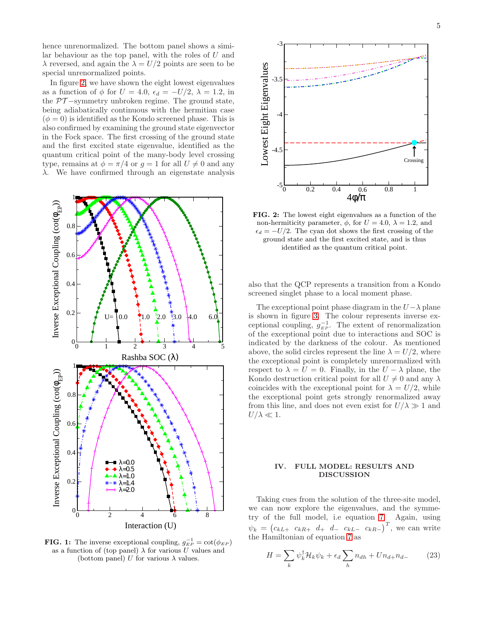hence unrenormalized. The bottom panel shows a similar behaviour as the top panel, with the roles of  $U$  and  $\lambda$  reversed, and again the  $\lambda = U/2$  points are seen to be special unrenormalized points.

In figure [2,](#page-4-1) we have shown the eight lowest eigenvalues as a function of  $\phi$  for  $U = 4.0$ ,  $\epsilon_d = -U/2$ ,  $\lambda = 1.2$ , in the  $PT$ -symmetry unbroken regime. The ground state, being adiabatically continuous with the hermitian case  $(\phi = 0)$  is identified as the Kondo screened phase. This is also confirmed by examining the ground state eigenvector in the Fock space. The first crossing of the ground state and the first excited state eigenvalue, identified as the quantum critical point of the many-body level crossing type, remains at  $\phi = \pi/4$  or  $g = 1$  for all  $U \neq 0$  and any  $\lambda$ . We have confirmed through an eigenstate analysis

<span id="page-4-0"></span>

**FIG. 1:** The inverse exceptional coupling,  $g_{EP}^{-1} = \cot(\phi_{EP})$ as a function of (top panel)  $\lambda$  for various U values and (bottom panel) U for various  $\lambda$  values.

<span id="page-4-1"></span>

FIG. 2: The lowest eight eigenvalues as a function of the non-hermiticity parameter,  $\phi$ , for  $U = 4.0$ ,  $\lambda = 1.2$ , and  $\epsilon_d = -U/2$ . The cyan dot shows the first crossing of the ground state and the first excited state, and is thus identified as the quantum critical point.

also that the QCP represents a transition from a Kondo screened singlet phase to a local moment phase.

The exceptional point phase diagram in the  $U-\lambda$  plane is shown in figure [3.](#page-5-0) The colour represents inverse exceptional coupling,  $g_{EP}^{-1}$ . The extent of renormalization of the exceptional point due to interactions and SOC is indicated by the darkness of the colour. As mentioned above, the solid circles represent the line  $\lambda = U/2$ , where the exceptional point is completely unrenormalized with respect to  $\lambda = U = 0$ . Finally, in the  $U - \lambda$  plane, the Kondo destruction critical point for all  $U \neq 0$  and any  $\lambda$ coincides with the exceptional point for  $\lambda = U/2$ , while the exceptional point gets strongly renormalized away from this line, and does not even exist for  $U/\lambda \gg 1$  and  $U/\lambda \ll 1$ .

### IV. FULL MODEL: RESULTS AND DISCUSSION

Taking cues from the solution of the three-site model, we can now explore the eigenvalues, and the symmetry of the full model, i.e equation [7.](#page-2-1) Again, using  $\psi_k = (c_{kL+} \ c_{kR+} \ d_+ \ d_- \ c_{kL-} \ c_{kR-})^T$ , we can write the Hamiltonian of equation [7](#page-2-1) as

$$
H = \sum_{k} \psi_{k}^{\dagger} \mathcal{H}_{k} \psi_{k} + \epsilon_{d} \sum_{h} n_{dh} + U n_{d+} n_{d-} \qquad (23)
$$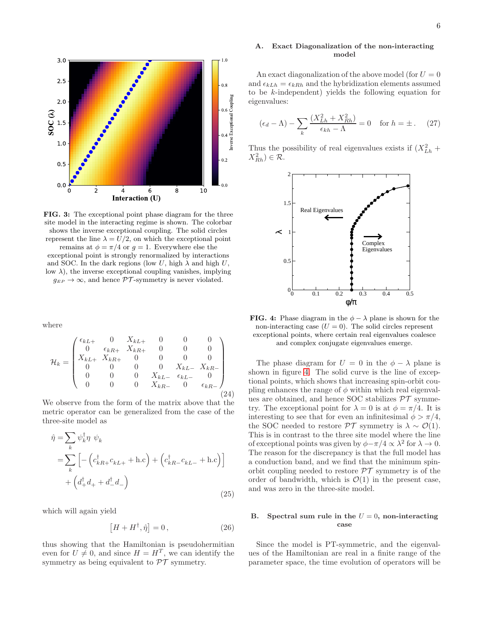<span id="page-5-0"></span>

FIG. 3: The exceptional point phase diagram for the three site model in the interacting regime is shown. The colorbar shows the inverse exceptional coupling. The solid circles represent the line  $\lambda = U/2$ , on which the exceptional point remains at  $\phi = \pi/4$  or  $g = 1$ . Everywhere else the

exceptional point is strongly renormalized by interactions and SOC. In the dark regions (low U, high  $\lambda$  and high U, low  $\lambda$ ), the inverse exceptional coupling vanishes, implying  $g_{EP} \rightarrow \infty,$  and hence  $\mathcal{PT}\textrm{-symmetry}$  is never violated.

where

$$
\mathcal{H}_k = \begin{pmatrix} \epsilon_{kL+} & 0 & X_{kL+} & 0 & 0 & 0 \\ 0 & \epsilon_{kR+} & X_{kR+} & 0 & 0 & 0 \\ X_{kL+} & X_{kR+} & 0 & 0 & 0 & 0 \\ 0 & 0 & 0 & 0 & X_{kL-} & X_{kR-} \\ 0 & 0 & 0 & X_{kL-} & \epsilon_{kL-} & 0 \\ 0 & 0 & 0 & X_{kR-} & 0 & \epsilon_{kR-} \end{pmatrix}
$$
(24)

We observe from the form of the matrix above that the metric operator can be generalized from the case of the three-site model as

$$
\hat{\eta} = \sum_{k} \psi_{k}^{\dagger} \eta \psi_{k}
$$
\n
$$
= \sum_{k} \left[ -\left( c_{kR+}^{\dagger} c_{kL+} + \text{h.c} \right) + \left( c_{kR-}^{\dagger} c_{kL-} + \text{h.c} \right) \right]
$$
\n
$$
+ \left( d_{+}^{\dagger} d_{+} + d_{-}^{\dagger} d_{-} \right)
$$
\n(25)

which will again yield

$$
[H + H^{\dagger}, \hat{\eta}] = 0, \qquad (26)
$$

thus showing that the Hamiltonian is pseudohermitian even for  $U \neq 0$ , and since  $H = H^T$ , we can identify the symmetry as being equivalent to  $\mathcal{PT}$  symmetry.

# A. Exact Diagonalization of the non-interacting model

An exact diagonalization of the above model (for  $U=0$ ) and  $\epsilon_{kLh} = \epsilon_{kRh}$  and the hybridization elements assumed to be k-independent) yields the following equation for eigenvalues:

<span id="page-5-2"></span>
$$
(\epsilon_d - \Lambda) - \sum_k \frac{(X_{Lh}^2 + X_{Rh}^2)}{\epsilon_{kh} - \Lambda} = 0 \quad \text{for } h = \pm. \tag{27}
$$

<span id="page-5-1"></span>Thus the possibility of real eigenvalues exists if  $(X_{Lh}^2 +$  $X_{Rh}^2$ )  $\in \mathcal{R}$ .



**FIG. 4:** Phase diagram in the  $\phi - \lambda$  plane is shown for the non-interacting case  $(U = 0)$ . The solid circles represent exceptional points, where certain real eigenvalues coalesce and complex conjugate eigenvalues emerge.

The phase diagram for  $U = 0$  in the  $\phi - \lambda$  plane is shown in figure [4.](#page-5-1) The solid curve is the line of exceptional points, which shows that increasing spin-orbit coupling enhances the range of  $\phi$  within which real eigenvalues are obtained, and hence SOC stabilizes  $\mathcal{PT}$  symmetry. The exceptional point for  $\lambda = 0$  is at  $\phi = \pi/4$ . It is interesting to see that for even an infinitesimal  $\phi > \pi/4$ , the SOC needed to restore  $\mathcal{PT}$  symmetry is  $\lambda \sim \mathcal{O}(1)$ . This is in contrast to the three site model where the line of exceptional points was given by  $\phi - \pi/4 \propto \lambda^2$  for  $\lambda \to 0$ . The reason for the discrepancy is that the full model has a conduction band, and we find that the minimum spinorbit coupling needed to restore  $\mathcal{PT}$  symmetry is of the order of bandwidth, which is  $\mathcal{O}(1)$  in the present case, and was zero in the three-site model.

### B. Spectral sum rule in the  $U = 0$ , non-interacting case

Since the model is PT-symmetric, and the eigenvalues of the Hamiltonian are real in a finite range of the parameter space, the time evolution of operators will be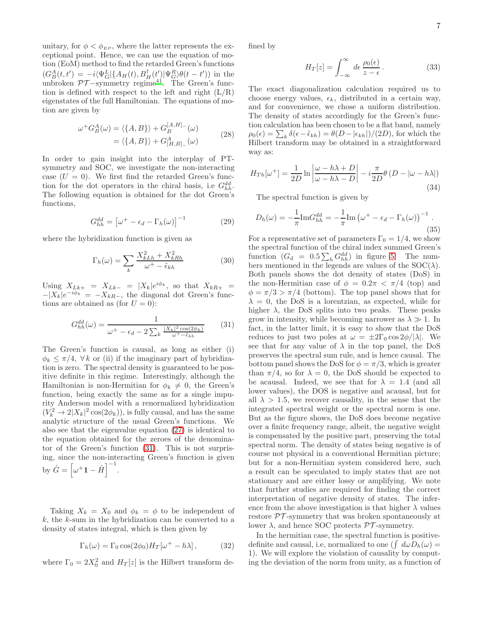unitary, for  $\phi < \phi_{EP}$ , where the latter represents the exceptional point. Hence, we can use the equation of motion (EoM) method to find the retarded Green's functions  $(G_{B}^{A}(t, t') = -i\langle \Psi_{G}^{L} | \{A_{H}(t), B_{H}^{\dagger}(t') | \Psi_{G}^{R}\rangle \theta(t - t')\}$  in the unbroken  $\mathcal{PT}-$ symmetry regime<sup>[41](#page-16-10)</sup>. The Green's function is defined with respect to the left and right  $(L/R)$ eigenstates of the full Hamiltonian. The equations of motion are given by

$$
\omega^{+} G_{B}^{A}(\omega) = \langle \{A, B\} \rangle + G_{B}^{[A,H]_{-}}(\omega)
$$

$$
= \langle \{A, B\} \rangle + G_{[H,B]_{-}}^{A}(\omega)
$$
(28)

In order to gain insight into the interplay of PTsymmetry and SOC, we investigate the non-interacting case  $(U = 0)$ . We first find the retarded Green's function for the dot operators in the chiral basis, i.e  $G_{hh}^{dd}$ . The following equation is obtained for the dot Green's functions,

$$
G_{hh}^{dd} = \left[\omega^+ - \epsilon_d - \Gamma_h(\omega)\right]^{-1} \tag{29}
$$

where the hybridization function is given as

$$
\Gamma_h(\omega) = \sum_k \frac{X_{kLh}^2 + X_{kRh}^2}{\omega^+ - \tilde{\epsilon}_{kh}} \tag{30}
$$

Using  $X_{Lk+} = X_{Lk-} = |X_k|e^{i\phi_k}$ , so that  $X_{kR+} =$  $-|X_k|e^{-i\phi_k} = -X_{kR-1}$ , the diagonal dot Green's functions are obtained as (for  $U = 0$ ):

<span id="page-6-0"></span>
$$
G_{hh}^{dd}(\omega) = \frac{1}{\omega^+ - \epsilon_d - 2\sum_k \frac{|X_k|^2 \cos(2\phi_k)}{\omega^+ - \tilde{\epsilon}_{kh}}}
$$
(31)

The Green's function is causal, as long as either (i)  $\phi_k \leq \pi/4$ ,  $\forall k$  or (ii) if the imaginary part of hybridization is zero. The spectral density is guaranteed to be positive definite in this regime. Interestingly, although the Hamiltonian is non-Hermitian for  $\phi_k \neq 0$ , the Green's function, being exactly the same as for a single impurity Anderson model with a renormalized hybridization  $(V_k^2 \rightarrow 2|X_k|^2 \cos(2\phi_k)),$  is fully causal, and has the same analytic structure of the usual Green's functions. We also see that the eigenvalue equation [\(27\)](#page-5-2) is identical to the equation obtained for the zeroes of the denominator of the Green's function [\(31\)](#page-6-0). This is not surprising, since the non-interacting Green's function is given by  $\hat{G} = \left[\omega^+ \mathbf{1} - \hat{H}\right]^{-1}$ .

Taking  $X_k = X_0$  and  $\phi_k = \phi$  to be independent of  $k$ , the  $k$ -sum in the hybridization can be converted to a density of states integral, which is then given by

<span id="page-6-1"></span>
$$
\Gamma_h(\omega) = \Gamma_0 \cos(2\phi_0) H_T[\omega^+ - h\lambda], \qquad (32)
$$

where  $\Gamma_0 = 2X_0^2$  and  $H_T[z]$  is the Hilbert transform de-

fined by

$$
H_T[z] = \int_{-\infty}^{\infty} d\epsilon \, \frac{\rho_0(\epsilon)}{z - \epsilon} \,. \tag{33}
$$

The exact diagonalization calculation required us to choose energy values,  $\epsilon_k$ , distributed in a certain way, and for convenience, we chose a uniform distribution. The density of states accordingly for the Green's function calculation has been chosen to be a flat band, namely  $\rho_0(\epsilon) = \sum_k \delta(\epsilon - \tilde{\epsilon}_{kh}) = \theta(D - |\epsilon_{kh}|)/(2D)$ , for which the Hilbert transform may be obtained in a straightforward way as:

$$
H_{Th}[\omega^{+}] = \frac{1}{2D} \ln \left| \frac{\omega - h\lambda + D}{\omega - h\lambda - D} \right| - i\frac{\pi}{2D} \theta \left( D - |\omega - h\lambda| \right) \tag{34}
$$

The spectral function is given by

$$
D_h(\omega) = -\frac{1}{\pi} \text{Im} G_{hh}^{dd} = -\frac{1}{\pi} \text{Im} \left( \omega^+ - \epsilon_d - \Gamma_h(\omega) \right)^{-1} . \tag{35}
$$

For a representative set of parameters  $\Gamma_0 = 1/4$ , we show the spectral function of the chiral index summed Green's function  $(G_d = 0.5 \sum_h G_{hh}^{dd})$  in figure [5.](#page-7-0) The numbers mentioned in the legends are values of the  $SOC(\lambda)$ . Both panels shows the dot density of states (DoS) in the non-Hermitian case of  $\phi = 0.2\pi < \pi/4$  (top) and  $\phi = \pi/3 > \pi/4$  (bottom). The top panel shows that for  $\lambda = 0$ , the DoS is a lorentzian, as expected, while for higher  $\lambda$ , the DoS splits into two peaks. These peaks grow in intensity, while becoming narrower as  $\lambda \gg 1$ . In fact, in the latter limit, it is easy to show that the DoS reduces to just two poles at  $\omega = \pm 2\Gamma_0 \cos 2\phi/|\lambda|$ . We see that for any value of  $\lambda$  in the top panel, the DoS preserves the spectral sum rule, and is hence causal. The bottom panel shows the DoS for  $\phi = \pi/3$ , which is greater than  $\pi/4$ , so for  $\lambda = 0$ , the DoS should be expected to be acausal. Indeed, we see that for  $\lambda = 1.4$  (and all lower values), the DOS is negative and acausal, but for all  $\lambda > 1.5$ , we recover causality, in the sense that the integrated spectral weight or the spectral norm is one. But as the figure shows, the DoS does become negative over a finite frequency range, albeit, the negative weight is compensated by the positive part, preserving the total spectral norm. The density of states being negative is of course not physical in a conventional Hermitian picture; but for a non-Hermitian system considered here, such a result can be speculated to imply states that are not stationary and are either lossy or amplifying. We note that further studies are required for finding the correct interpretation of negative density of states. The inference from the above investigation is that higher  $\lambda$  values restore PT -symmetry that was broken spontaneously at lower  $\lambda$ , and hence SOC protects  $\mathcal{PT}$ -symmetry.

In the hermitian case, the spectral function is positivedefinite and causal, i.e, normalized to one  $(\int d\omega D_h(\omega))$ 1). We will explore the violation of causality by computing the deviation of the norm from unity, as a function of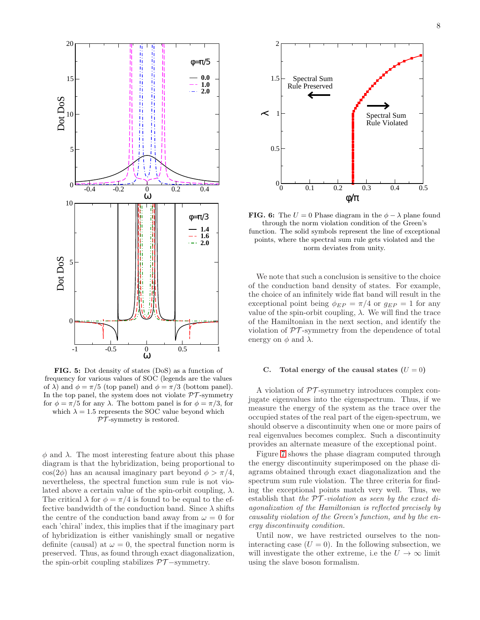<span id="page-7-0"></span>

FIG. 5: Dot density of states (DoS) as a function of frequency for various values of SOC (legends are the values of  $\lambda$ ) and  $\phi = \pi/5$  (top panel) and  $\phi = \pi/3$  (bottom panel). In the top panel, the system does not violate  $\mathcal{PT}$ -symmetry for  $\phi = \pi/5$  for any  $\lambda$ . The bottom panel is for  $\phi = \pi/3$ , for which  $\lambda = 1.5$  represents the SOC value beyond which  $PT$ -symmetry is restored.

 $\phi$  and  $\lambda$ . The most interesting feature about this phase diagram is that the hybridization, being proportional to  $\cos(2\phi)$  has an acausal imaginary part beyond  $\phi > \pi/4$ , nevertheless, the spectral function sum rule is not violated above a certain value of the spin-orbit coupling,  $\lambda$ . The critical  $\lambda$  for  $\phi = \pi/4$  is found to be equal to the effective bandwidth of the conduction band. Since  $\lambda$  shifts the centre of the conduction band away from  $\omega = 0$  for each 'chiral' index, this implies that if the imaginary part of hybridization is either vanishingly small or negative definite (causal) at  $\omega = 0$ , the spectral function norm is preserved. Thus, as found through exact diagonalization, the spin-orbit coupling stabilizes  $\mathcal{PT}-symmetry$ .



**FIG. 6:** The  $U = 0$  Phase diagram in the  $\phi - \lambda$  plane found through the norm violation condition of the Green's function. The solid symbols represent the line of exceptional points, where the spectral sum rule gets violated and the norm deviates from unity.

We note that such a conclusion is sensitive to the choice of the conduction band density of states. For example, the choice of an infinitely wide flat band will result in the exceptional point being  $\phi_{EP} = \pi/4$  or  $q_{EP} = 1$  for any value of the spin-orbit coupling, λ. We will find the trace of the Hamiltonian in the next section, and identify the violation of  $\mathcal{PT}$ -symmetry from the dependence of total energy on  $\phi$  and  $\lambda$ .

# C. Total energy of the causal states  $(U = 0)$

A violation of  $\mathcal{PT}$ -symmetry introduces complex conjugate eigenvalues into the eigenspectrum. Thus, if we measure the energy of the system as the trace over the occupied states of the real part of the eigen-spectrum, we should observe a discontinuity when one or more pairs of real eigenvalues becomes complex. Such a discontinuity provides an alternate measure of the exceptional point.

Figure [7](#page-8-0) shows the phase diagram computed through the energy discontinuity superimposed on the phase diagrams obtained through exact diagonalization and the spectrum sum rule violation. The three criteria for finding the exceptional points match very well. Thus, we establish that the  $PT$ -violation as seen by the exact diagonalization of the Hamiltonian is reflected precisely by causality violation of the Green's function, and by the energy discontinuity condition.

Until now, we have restricted ourselves to the noninteracting case  $(U = 0)$ . In the following subsection, we will investigate the other extreme, i.e the  $U \rightarrow \infty$  limit using the slave boson formalism.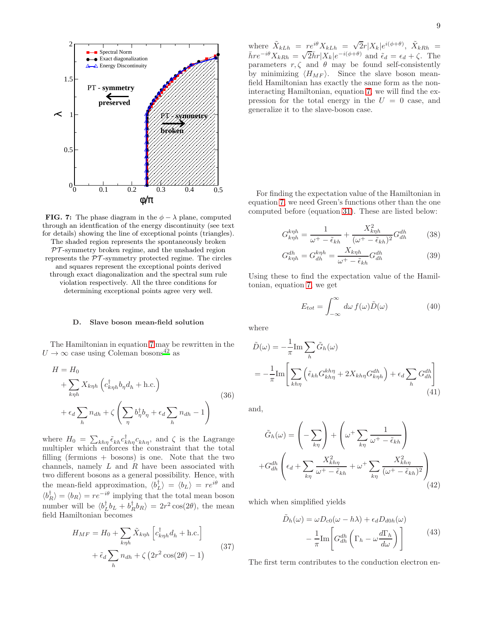<span id="page-8-0"></span>

**FIG. 7:** The phase diagram in the  $\phi - \lambda$  plane, computed through an identfication of the energy discontinuity (see text for details) showing the line of exceptional points (triangles).

The shaded region represents the spontaneously broken  $PT$ -symmetry broken regime, and the unshaded region represents the  $\mathcal{PT}$ -symmetry protected regime. The circles and squares represent the exceptional points derived through exact diagonalization and the spectral sum rule violation respectively. All the three conditions for determining exceptional points agree very well.

### D. Slave boson mean-field solution

The Hamiltonian in equation [7](#page-2-1) may be rewritten in the  $U \rightarrow \infty$  case using Coleman bosons<sup>[42](#page-16-11)</sup> as

$$
H = H_0
$$
  
+  $\sum_{k\eta h} X_{k\eta h} \left( c_{k\eta h}^\dagger b_\eta d_h + \text{h.c.} \right)$   
+  $\epsilon_d \sum_h n_{dh} + \zeta \left( \sum_\eta b_\eta^\dagger b_\eta + \epsilon_d \sum_h n_{dh} - 1 \right)$  (36)

where  $H_0 = \sum_{kh\eta} \tilde{\epsilon}_{kh} c_{kh\eta}^{\dagger} c_{kh\eta}$ , and  $\zeta$  is the Lagrange multipler which enforces the constraint that the total filling (fermions  $+$  bosons) is one. Note that the two channels, namely  $L$  and  $R$  have been associated with two different bosons as a general possibility. Hence, with the mean-field approximation,  $\langle b^{\dagger}_L \rangle = \langle b_L \rangle = re^{i\theta}$  and  $\langle b_R^{\dagger} \rangle = \langle b_R \rangle = r e^{-i\theta}$  implying that the total mean boson number will be  $\langle b_L^{\dagger} b_L + b_R^{\dagger} b_R \rangle = 2r^2 \cos(2\theta)$ , the mean field Hamiltonian becomes

$$
H_{MF} = H_0 + \sum_{k\eta h} \tilde{X}_{k\eta h} \left[ c_{k\eta h}^{\dagger} d_h + \text{h.c.} \right]
$$

$$
+ \tilde{\epsilon}_d \sum_{h} n_{dh} + \zeta \left( 2r^2 \cos(2\theta) - 1 \right)
$$
(37)

where  $\tilde{X}_{kLh} = re^{i\theta}X_{kLh} = \sqrt{2}r|X_k|e^{i(\phi+\theta)}, \tilde{X}_{kRh}$  $\bar{h}re^{-i\theta}X_{kRh}^{kIn} = \sqrt{2}\bar{h}r|X_k|e^{-i(\phi+\theta)}$  and  $\tilde{\epsilon}_d = \epsilon_d + \zeta$ . The parameters  $r, \zeta$  and  $\theta$  may be found self-consistently by minimizing  $\langle H_{MF} \rangle$ . Since the slave boson meanfield Hamiltonian has exactly the same form as the noninteracting Hamiltonian, equation [7,](#page-2-1) we will find the expression for the total energy in the  $U = 0$  case, and generalize it to the slave-boson case.

For finding the expectation value of the Hamiltonian in equation [7,](#page-2-1) we need Green's functions other than the one computed before (equation [31\)](#page-6-0). These are listed below:

$$
G_{knh}^{knh} = \frac{1}{\omega^+ - \tilde{\epsilon}_{kh}} + \frac{X_{knh}^2}{(\omega^+ - \tilde{\epsilon}_{kh})^2} G_{dh}^{dh} \tag{38}
$$

$$
G_{knh}^{dh} = G_{dh}^{knh} = \frac{X_{knh}}{\omega^+ - \tilde{\epsilon}_{kh}} G_{dh}^{dh}
$$
\n(39)

Using these to find the expectation value of the Hamiltonian, equation [7,](#page-2-1) we get

$$
E_{tot} = \int_{-\infty}^{\infty} d\omega \, f(\omega) \tilde{D}(\omega) \tag{40}
$$

where

$$
\tilde{D}(\omega) = -\frac{1}{\pi} \text{Im} \sum_{h} \tilde{G}_{h}(\omega)
$$
\n
$$
= -\frac{1}{\pi} \text{Im} \left[ \sum_{kh\eta} \left( \tilde{\epsilon}_{kh} G_{kh\eta}^{kh\eta} + 2X_{kh\eta} G_{kh\eta}^{dh} \right) + \epsilon_d \sum_{h} G_{dh}^{dh} \right]
$$
\n(41)

and,

$$
\tilde{G}_h(\omega) = \left(-\sum_{k\eta}\right) + \left(\omega^+ \sum_{k\eta} \frac{1}{\omega^+ - \tilde{\epsilon}_{kh}}\right) + G_{dh}^{dh}\left(\epsilon_d + \sum_{k\eta} \frac{X_{kh\eta}^2}{\omega^+ - \tilde{\epsilon}_{kh}} + \omega^+ \sum_{k\eta} \frac{X_{kh\eta}^2}{(\omega^+ - \tilde{\epsilon}_{kh})^2}\right) \tag{42}
$$

which when simplified yields

$$
\tilde{D}_h(\omega) = \omega D_{c0}(\omega - h\lambda) + \epsilon_d D_{d0h}(\omega) \n- \frac{1}{\pi} \text{Im} \left[ G_{dh}^{dh} \left( \Gamma_h - \omega \frac{d \Gamma_h}{d \omega} \right) \right]
$$
\n(43)

The first term contributes to the conduction electron en-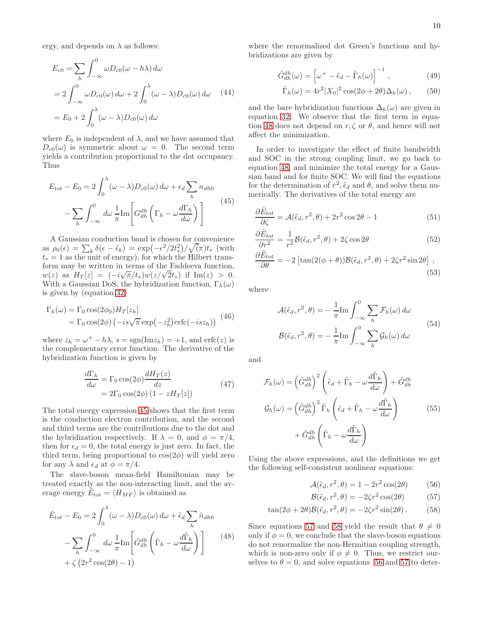ergy, and depends on  $\lambda$  as follows:

$$
E_{c0} = \sum_{h} \int_{-\infty}^{0} \omega D_{c0}(\omega - h\lambda) d\omega
$$
  
=  $2 \int_{-\infty}^{0} \omega D_{c0}(\omega) d\omega + 2 \int_{0}^{\lambda} (\omega - \lambda) D_{c0}(\omega) d\omega$  (44)  
=  $E_0 + 2 \int_{0}^{\lambda} (\omega - \lambda) D_{c0}(\omega) d\omega$ 

where  $E_0$  is independent of  $\lambda$ , and we have assumed that  $D_{c0}(\omega)$  is symmetric about  $\omega = 0$ . The second term yields a contribution proportional to the dot occupancy. Thus

<span id="page-9-0"></span>
$$
E_{tot} - E_0 = 2 \int_0^{\lambda} (\omega - \lambda) D_{c0}(\omega) d\omega + \epsilon_d \sum_h n_{dh0}
$$

$$
- \sum_h \int_{-\infty}^0 d\omega \frac{1}{\pi} \text{Im} \left[ G_{dh}^{dh} \left( \Gamma_h - \omega \frac{d \Gamma_h}{d\omega} \right) \right]
$$
(45)

A Gaussian conduction band is chosen for convenience as  $\rho_0(\epsilon) = \sum_k \delta(\epsilon - \tilde{\epsilon}_k) = \exp(-\epsilon^2/2t^2)$ <sup>2</sup>// $\sqrt{(\pi)}t_*$  (with  $t_* = 1$  as the unit of energy), for which the Hilbert transform may be written in terms of the Faddeeva function, w(z) as  $H_T[z] = (-i\sqrt{\pi}/t_*)w(z/\sqrt{2}t_*)$  if  $\text{Im}(z) > 0$ . With a Gaussian DoS, the hybridization function,  $\Gamma_h(\omega)$ is given by (equation [32\)](#page-6-1)

$$
\Gamma_h(\omega) = \Gamma_0 \cos(2\phi_0) H_T[z_h]
$$
  
=  $\Gamma_0 \cos(2\phi) (-is\sqrt{\pi} \exp(-z_h^2) \text{erfc}(-isz_h))$  (46)

where  $z_h = \omega^+ - h\lambda$ ,  $s = \text{sgn}(\text{Im}z_h) = +1$ , and erfc(z) is the complementary error function. The derivative of the hybridization function is given by

$$
\frac{d\Gamma_h}{d\omega} = \Gamma_0 \cos(2\phi) \frac{dH_T(z)}{dz}
$$
\n
$$
= 2\Gamma_0 \cos(2\phi) (1 - zH_T[z])
$$
\n(47)

The total energy expression [45](#page-9-0) shows that the first term is the conduction electron contribution, and the second and third terms are the contributions due to the dot and the hybridization respectively. If  $\lambda = 0$ , and  $\phi = \pi/4$ , then for  $\epsilon_d = 0$ , the total energy is just zero. In fact, the third term, being proportional to  $cos(2\phi)$  will yield zero for any  $\lambda$  and  $\epsilon_d$  at  $\phi = \pi/4$ .

The slave-boson mean-field Hamiltonian may be treated exactly as the non-interacting limit, and the average energy  $\tilde{E}_{\text{tot}} = \langle H_{MF} \rangle$  is obtained as

<span id="page-9-1"></span>
$$
\tilde{E}_{tot} - E_0 = 2 \int_0^{\lambda} (\omega - \lambda) D_{c0}(\omega) d\omega + \tilde{\epsilon}_d \sum_h \tilde{n}_{dh0}
$$

$$
- \sum_h \int_{-\infty}^0 d\omega \frac{1}{\pi} \text{Im} \left[ \tilde{G}_{dh}^{dh} \left( \tilde{\Gamma}_h - \omega \frac{d\tilde{\Gamma}_h}{d\omega} \right) \right]
$$
(48)
$$
+ \zeta \left( 2r^2 \cos(2\theta) - 1 \right)
$$

where the renormalized dot Green's functions and hybridizations are given by

$$
\tilde{G}_{dh}^{dh}(\omega) = \left[\omega^+ - \tilde{\epsilon}_d - \tilde{\Gamma}_h(\omega)\right]^{-1},\qquad(49)
$$

$$
\tilde{\Gamma}_h(\omega) = 4r^2 |X_0|^2 \cos(2\phi + 2\theta) \Delta_h(\omega), \qquad (50)
$$

and the bare hybridization functions  $\Delta_h(\omega)$  are given in equation [32.](#page-6-1) We observe that the first term in equa-tion [48](#page-9-1) does not depend on  $r, \zeta$  or  $\theta$ , and hence will not affect the minimization.

In order to investigate the effect of finite bandwidth and SOC in the strong coupling limit, we go back to equation [48,](#page-9-1) and minimize the total energy for a Gaussian band and for finite SOC. We will find the equations for the determination of  $r^2$ ,  $\tilde{\epsilon}_d$  and  $\theta$ , and solve them numerically. The derivatives of the total energy are

$$
\frac{\partial \tilde{E}_{tot}}{\partial \zeta} = \mathcal{A}(\tilde{\epsilon}_d, r^2, \theta) + 2r^2 \cos 2\theta - 1 \tag{51}
$$

$$
\frac{\partial \tilde{E}_{tot}}{\partial r^2} = \frac{1}{r^2} \mathcal{B}(\tilde{\epsilon}_d, r^2, \theta) + 2\zeta \cos 2\theta \tag{52}
$$

$$
\frac{\partial \tilde{E}_{tot}}{\partial \theta} = -2 \left[ \tan(2(\phi + \theta)) \mathcal{B}(\tilde{\epsilon}_d, r^2, \theta) + 2\zeta r^2 \sin 2\theta \right],
$$
\n(53)

where

$$
\mathcal{A}(\tilde{\epsilon}_d, r^2, \theta) = -\frac{1}{\pi} \text{Im} \int_{-\infty}^0 \sum_h \mathcal{F}_h(\omega) d\omega
$$
  

$$
\mathcal{B}(\tilde{\epsilon}_d, r^2, \theta) = -\frac{1}{\pi} \text{Im} \int_{-\infty}^0 \sum_h \mathcal{G}_h(\omega) d\omega
$$
(54)

and

$$
\mathcal{F}_h(\omega) = \left(\tilde{G}_{dh}^{dh}\right)^2 \left(\tilde{\epsilon}_d + \tilde{\Gamma}_h - \omega \frac{d\tilde{\Gamma}_h}{d\omega}\right) + \tilde{G}_{dh}^{dh}
$$
\n
$$
\mathcal{G}_h(\omega) = \left(\tilde{G}_{dh}^{dh}\right)^2 \tilde{\Gamma}_h \left(\tilde{\epsilon}_d + \tilde{\Gamma}_h - \omega \frac{d\tilde{\Gamma}_h}{d\omega}\right) \tag{55}
$$
\n
$$
+ \tilde{G}_{dh}^{dh} \left(\tilde{\Gamma}_h - \omega \frac{d\tilde{\Gamma}_h}{d\omega}\right)
$$

Using the above expressions, and the definitions we get the following self-consistent nonlinear equations:

<span id="page-9-4"></span>
$$
\mathcal{A}(\tilde{\epsilon}_d, r^2, \theta) = 1 - 2r^2 \cos(2\theta) \tag{56}
$$

<span id="page-9-3"></span><span id="page-9-2"></span>
$$
\mathcal{B}(\tilde{\epsilon}_d, r^2, \theta) = -2\zeta r^2 \cos(2\theta) \tag{57}
$$

$$
\tan(2\phi + 2\theta)\mathcal{B}(\tilde{\epsilon}_d, r^2, \theta) = -2\zeta r^2 \sin(2\theta). \tag{58}
$$

Since equations [57](#page-9-2) and [58](#page-9-3) yield the result that  $\theta \neq 0$ only if  $\phi = 0$ , we conclude that the slave-boson equations do not renormalize the non-Hermitian coupling strength, which is non-zero only if  $\phi \neq 0$ . Thus, we restrict ourselves to  $\theta = 0$ , and solve equations [56](#page-9-4) and [57](#page-9-2) to deter-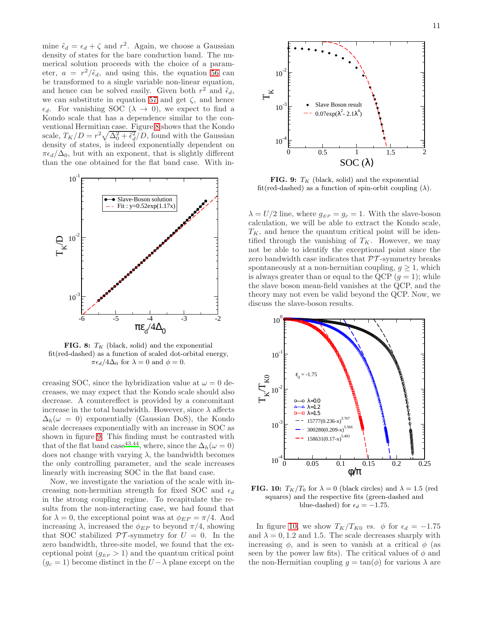mine  $\tilde{\epsilon}_d = \epsilon_d + \zeta$  and  $r^2$ . Again, we choose a Gaussian density of states for the bare conduction band. The numerical solution proceeds with the choice of a parameter,  $a = r^2/\tilde{\epsilon}_d$ , and using this, the equation [56](#page-9-4) can be transformed to a single variable non-linear equation, and hence can be solved easily. Given both  $r^2$  and  $\tilde{\epsilon}_d$ , we can substitute in equation [57](#page-9-2) and get  $\zeta$ , and hence  $\epsilon_d$ . For vanishing SOC ( $\lambda \to 0$ ), we expect to find a Kondo scale that has a dependence similar to the conventional Hermitian case. Figure [8](#page-10-0) shows that the Kondo scale,  $T_K/D = r^2 \sqrt{\Delta_0^2 + \tilde{\epsilon}_d^2}/D$ , found with the Gaussian density of states, is indeed exponentially dependent on  $\pi \epsilon_d/\Delta_0$ , but with an exponent, that is slightly different than the one obtained for the flat band case. With in-

<span id="page-10-0"></span>

**FIG. 8:**  $T_K$  (black, solid) and the exponential fit(red-dashed) as a function of scaled dot-orbital energy,  $\pi \epsilon_d/4\Delta_0$  for  $\lambda = 0$  and  $\phi = 0$ .

creasing SOC, since the hybridization value at  $\omega = 0$  decreases, we may expect that the Kondo scale should also decrease. A countereffect is provided by a concomitant increase in the total bandwidth. However, since  $\lambda$  affects  $\Delta_h(\omega = 0)$  exponentially (Gaussian DoS), the Kondo scale decreases exponentially with an increase in SOC as shown in figure [9.](#page-10-1) This finding must be contrasted with that of the flat band case<sup>[43](#page-16-12)[,44](#page-16-13)</sup>, where, since the  $\Delta_h(\omega = 0)$ does not change with varying  $\lambda$ , the bandwidth becomes the only controlling parameter, and the scale increases linearly with increasing SOC in the flat band case.

Now, we investigate the variation of the scale with increasing non-hermitian strength for fixed SOC and  $\epsilon_d$ in the strong coupling regime. To recapitulate the results from the non-interacting case, we had found that for  $\lambda = 0$ , the exceptional point was at  $\phi_{EP} = \pi/4$ . And increasing  $\lambda$ , increased the  $\phi_{EP}$  to beyond  $\pi/4$ , showing that SOC stabilized  $\mathcal{PT}$ -symmetry for  $U = 0$ . In the zero bandwidth, three-site model, we found that the exceptional point  $(g_{EP} > 1)$  and the quantum critical point  $(g_c = 1)$  become distinct in the  $U - \lambda$  plane except on the

<span id="page-10-1"></span>

**FIG. 9:**  $T_K$  (black, solid) and the exponential fit(red-dashed) as a function of spin-orbit coupling  $(\lambda)$ .

 $\lambda = U/2$  line, where  $g_{EP} = g_c = 1$ . With the slave-boson calculation, we will be able to extract the Kondo scale,  $T_K$ , and hence the quantum critical point will be identified through the vanishing of  $T_K$ . However, we may not be able to identify the exceptional point since the zero bandwidth case indicates that  $\mathcal{PT}$ -symmetry breaks spontaneously at a non-hermitian coupling,  $g \geq 1$ , which is always greater than or equal to the QCP  $(q = 1)$ ; while the slave boson mean-field vanishes at the QCP, and the theory may not even be valid beyond the QCP. Now, we discuss the slave-boson results.

<span id="page-10-2"></span>

**FIG. 10:**  $T_K/T_0$  for  $\lambda = 0$  (black circles) and  $\lambda = 1.5$  (red squares) and the respective fits (green-dashed and blue-dashed) for  $\epsilon_d = -1.75$ .

In figure [10,](#page-10-2) we show  $T_K/T_{K0}$  vs.  $\phi$  for  $\epsilon_d = -1.75$ and  $\lambda = 0, 1.2$  and 1.5. The scale decreases sharply with increasing  $\phi$ , and is seen to vanish at a critical  $\phi$  (as seen by the power law fits). The critical values of  $\phi$  and the non-Hermitian coupling  $q = \tan(\phi)$  for various  $\lambda$  are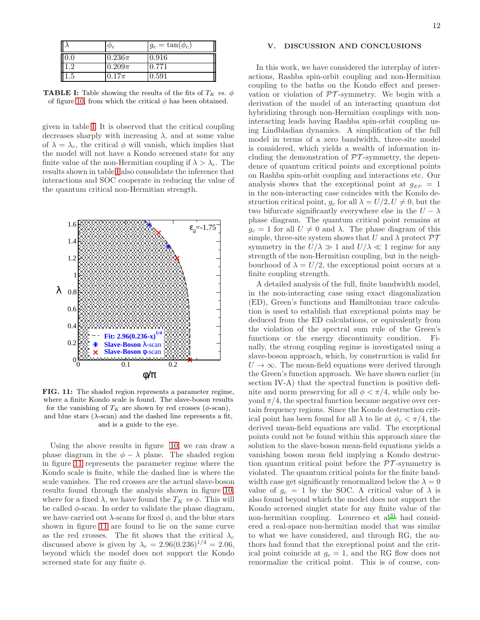<span id="page-11-0"></span>

|         | $\varphi_c$ | $g_c = \tan(\phi_c)$ |
|---------|-------------|----------------------|
| 0.0     | $0.236\pi$  | 0.916                |
| 1.2     | $0.209\pi$  | 0.771                |
| $1.5\,$ | $0.17\pi$   | 0.591                |

**TABLE I:** Table showing the results of the fits of  $T_K$  vs.  $\phi$ of figure [10,](#page-10-2) from which the critical  $\phi$  has been obtained.

given in table [I.](#page-11-0) It is observed that the critical coupling decreases sharply with increasing  $\lambda$ , and at some value of  $\lambda = \lambda_c$ , the critical  $\phi$  will vanish, which implies that the model will not have a Kondo screened state for any finite value of the non-Hermitian coupling if  $\lambda > \lambda_c$ . The results shown in table [I](#page-11-0) also consolidate the inference that interactions and SOC cooperate in reducing the value of the quantum critical non-Hermitian strength.

<span id="page-11-1"></span>

FIG. 11: The shaded region represents a parameter regime, where a finite Kondo scale is found. The slave-boson results for the vanishing of  $T_K$  are shown by red crosses ( $\phi$ -scan), and blue stars  $(\lambda$ -scan) and the dashed line represents a fit, and is a guide to the eye.

Using the above results in figure [10,](#page-10-2) we can draw a phase diagram in the  $\phi - \lambda$  plane. The shaded region in figure [11](#page-11-1) represents the parameter regime where the Kondo scale is finite, while the dashed line is where the scale vanishes. The red crosses are the actual slave-boson results found through the analysis shown in figure [10,](#page-10-2) where for a fixed  $\lambda$ , we have found the  $T_K$  vs  $\phi$ . This will be called  $\phi$ -scan. In order to validate the phase diagram, we have carried out  $\lambda$ -scans for fixed  $\phi$ , and the blue stars shown in figure [11](#page-11-1) are found to lie on the same curve as the red crosses. The fit shows that the critical  $\lambda_c$ discussed above is given by  $\lambda_c = 2.96(0.236)^{1/4} = 2.06$ , beyond which the model does not support the Kondo screened state for any finite  $\phi$ .

### V. DISCUSSION AND CONCLUSIONS

In this work, we have considered the interplay of interactions, Rashba spin-orbit coupling and non-Hermitian coupling to the baths on the Kondo effect and preservation or violation of  $\mathcal{PT}$ -symmetry. We begin with a derivation of the model of an interacting quantum dot hybridizing through non-Hermitian couplings with noninteracting leads having Rashba spin-orbit coupling using Lindbladian dynamics. A simplification of the full model in terms of a zero bandwidth, three-site model is considered, which yields a wealth of information including the demonstration of  $\mathcal{PT}$ -symmetry, the dependence of quantum critical points and exceptional points on Rashba spin-orbit coupling and interactions etc. Our analysis shows that the exceptional point at  $g_{EP} = 1$ in the non-interacting case coincides with the Kondo destruction critical point,  $g_c$  for all  $\lambda = U/2, U \neq 0$ , but the two bifurcate significantly everywhere else in the  $U - \lambda$ phase diagram. The quantum critical point remains at  $g_c = 1$  for all  $U \neq 0$  and  $\lambda$ . The phase diagram of this simple, three-site system shows that U and  $\lambda$  protect  $\mathcal{PT}$ symmetry in the  $U/\lambda \gg 1$  and  $U/\lambda \ll 1$  regime for any strength of the non-Hermitian coupling, but in the neighbourhood of  $\lambda = U/2$ , the exceptional point occurs at a finite coupling strength.

A detailed analysis of the full, finite bandwidth model, in the non-interacting case using exact diagonalization (ED), Green's functions and Hamiltonian trace calculation is used to establish that exceptional points may be deduced from the ED calculations, or equivalently from the violation of the spectral sum rule of the Green's functions or the energy discontinuity condition. Finally, the strong coupling regime is investigated using a slave-boson approach, which, by construction is valid for  $U \rightarrow \infty$ . The mean-field equations were derived through the Green's function approach. We have shown earlier (in section IV-A) that the spectral function is positive definite and norm preserving for all  $\phi < \pi/4$ , while only beyond  $\pi/4$ , the spectral function became negative over certain frequency regions. Since the Kondo destruction critical point has been found for all  $\lambda$  to lie at  $\phi_c < \pi/4$ , the derived mean-field equations are valid. The exceptional points could not be found within this approach since the solution to the slave-boson mean-field equations yields a vanishing boson mean field implying a Kondo destruction quantum critical point before the  $\mathcal{PT}$ -symmetry is violated. The quantum critical points for the finite bandwidth case get significantly renormalized below the  $\lambda = 0$ value of  $g_c = 1$  by the SOC. A critical value of  $\lambda$  is also found beyond which the model does not support the Kondo screened singlet state for any finite value of the non-hermitian coupling. Lourenco et  $al<sup>31</sup>$  $al<sup>31</sup>$  $al<sup>31</sup>$  had considered a real-space non-hermitian model that was similar to what we have considered, and through RG, the authors had found that the exceptional point and the critical point coincide at  $g_c = 1$ , and the RG flow does not renormalize the critical point. This is of course, con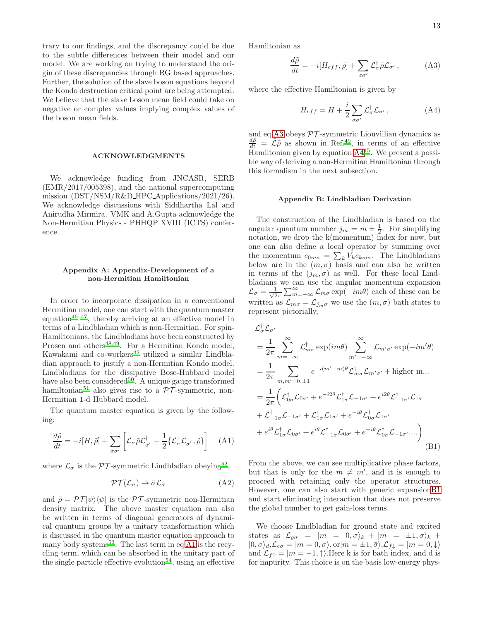trary to our findings, and the discrepancy could be due to the subtle differences between their model and our model. We are working on trying to understand the origin of these discrepancies through RG based approaches. Further, the solution of the slave boson equations beyond the Kondo destruction critical point are being attempted. We believe that the slave boson mean field could take on negative or complex values implying complex values of the boson mean fields.

### ACKNOWLEDGMENTS

We acknowledge funding from JNCASR, SERB (EMR/2017/005398), and the national supercomputing mission (DST/NSM/R&D HPC Applications/2021/26). We acknowledge discussions with Siddhartha Lal and Anirudha Mirmira. VMK and A.Gupta acknowledge the Non-Hermitian Physics - PHHQP XVIII (ICTS) conference.

# Appendix A: Appendix-Development of a non-Hermitian Hamiltonian

In order to incorporate dissipation in a conventional Hermitian model, one can start with the quantum master equation[45](#page-16-14)[–47](#page-16-15), thereby arriving at an effective model in terms of a Lindbladian which is non-Hermitian. For spin-Hamiltonians, the Lindbladians have been constructed by Prosen and others $48,49$  $48,49$ . For a Hermitian Kondo model, Kawakami and co-workers<sup>[32](#page-16-3)</sup> utilized a similar Lindbladian approach to justify a non-Hermitian Kondo model. Lindbladians for the dissipative Bose-Hubbard model have also been considered<sup>[50](#page-16-18)</sup>. A unique gauge transformed hamiltonian<sup>[51](#page-16-19)</sup> also gives rise to a  $\overline{PT}$ -symmetric, non-Hermitian 1-d Hubbard model.

The quantum master equation is given by the following:

<span id="page-12-0"></span>
$$
\frac{d\tilde{\rho}}{dt} = -i[H, \tilde{\rho}] + \sum_{\sigma\sigma'} \left[ \mathcal{L}_{\sigma} \tilde{\rho} \mathcal{L}_{\sigma'}^{\dagger} - \frac{1}{2} \{ \mathcal{L}_{\sigma}^{\dagger} \mathcal{L}_{\sigma'}, \tilde{\rho} \} \right]
$$
(A1)

where  $\mathcal{L}_{\sigma}$  is the PT-symmetric Lindbladian obeying<sup>[52](#page-16-20)</sup>,

$$
\mathcal{PT}(\mathcal{L}_{\sigma}) \to \bar{\sigma} \mathcal{L}_{\sigma} \tag{A2}
$$

and  $\tilde{\rho} = \mathcal{PT}|\psi\rangle\langle\psi|$  is the  $\mathcal{PT}$ -symmetric non-Hermitian density matrix. The above master equation can also be written in terms of diagonal generators of dynamical quantum groups by a unitary transformation which is discussed in the quantum master equation approach to many body systems<sup>[53](#page-16-21)</sup>. The last term in eq [A1](#page-12-0) is the recycling term, which can be absorbed in the unitary part of the single particle effective evolution<sup>[54](#page-16-22)</sup>, using an effective Hamiltonian as

<span id="page-12-1"></span>
$$
\frac{d\tilde{\rho}}{dt} = -i[H_{eff}, \tilde{\rho}] + \sum_{\sigma\sigma'} \mathcal{L}_{\sigma}^{\dagger} \tilde{\rho} \mathcal{L}_{\sigma'}, \tag{A3}
$$

where the effective Hamiltonian is given by

<span id="page-12-2"></span>
$$
H_{eff} = H + \frac{i}{2} \sum_{\sigma \sigma'} \mathcal{L}_{\sigma}^{\dagger} \mathcal{L}_{\sigma'}, \qquad (A4)
$$

and eq [A3](#page-12-1) obeys  $\mathcal{PT}$ -symmetric Liouvillian dynamics as  $\frac{d\tilde{\rho}}{dt} = \hat{\mathcal{L}} \tilde{\rho}$  as shown in Ref.<sup>[49](#page-16-17)</sup>, in terms of an effective  $\frac{du}{dx}$  Hamiltonian given by equation  $A4^{45}$  $A4^{45}$  $A4^{45}$  $A4^{45}$ . We present a possible way of deriving a non-Hermitian Hamiltonian through this formalism in the next subsection.

### Appendix B: Lindbladian Derivation

The construction of the Lindbladian is based on the angular quantum number  $j_m = m \pm \frac{1}{2}$ . For simplifying notation, we drop the k(momentum) index for now, but one can also define a local operator by summing over the momentum  $c_{0m\sigma} = \sum_{k} V_k c_{km\sigma}$ . The Lindbladians below are in the  $(m, \sigma)$  basis and can also be written in terms of the  $(j_m, \sigma)$  as well. For these local Lindbladians we can use the angular momentum expansion  $\mathcal{L}_{\sigma}=\frac{1}{\sqrt{2}}$  $\frac{1}{2\pi} \sum_{m=-\infty}^{\infty} \mathcal{L}_{m\sigma} \exp(-im\theta)$  each of these can be written as  $\mathcal{L}_{m\sigma} = \mathcal{L}_{j_m\sigma}$  we use the  $(m, \sigma)$  bath states to represent pictorially,

<span id="page-12-3"></span>
$$
\mathcal{L}_{\sigma}^{\dagger} \mathcal{L}_{\sigma'} = \frac{1}{2\pi} \sum_{m=-\infty}^{\infty} \mathcal{L}_{m\sigma}^{\dagger} \exp(im\theta) \sum_{m'=-\infty}^{\infty} \mathcal{L}_{m'\sigma'} \exp(-im'\theta)
$$
  
\n
$$
= \frac{1}{2\pi} \sum_{m,m'=0,\pm 1} e^{-i(m'-m)\theta} \mathcal{L}_{m\sigma}^{\dagger} \mathcal{L}_{m'\sigma'} + \text{higher m...}
$$
  
\n
$$
= \frac{1}{2\pi} \left( \mathcal{L}_{0\sigma}^{\dagger} \mathcal{L}_{0\sigma'} + e^{-i2\theta} \mathcal{L}_{1\sigma}^{\dagger} \mathcal{L}_{-1\sigma'} + e^{i2\theta} \mathcal{L}_{-1\sigma'}^{\dagger} \mathcal{L}_{1\sigma} \right.
$$
  
\n
$$
+ \mathcal{L}_{-1\sigma}^{\dagger} \mathcal{L}_{-1\sigma'} + \mathcal{L}_{1\sigma}^{\dagger} \mathcal{L}_{1\sigma'} + e^{-i\theta} \mathcal{L}_{0\sigma}^{\dagger} \mathcal{L}_{1\sigma'}
$$
  
\n
$$
+ e^{i\theta} \mathcal{L}_{1\sigma}^{\dagger} \mathcal{L}_{0\sigma'} + e^{i\theta} \mathcal{L}_{-1\sigma}^{\dagger} \mathcal{L}_{0\sigma'} + e^{-i\theta} \mathcal{L}_{0\sigma}^{\dagger} \mathcal{L}_{-1\sigma'} ... \right)
$$
(B1)

From the above, we can see multiplicative phase factors, but that is only for the  $m \neq m'$ , and it is enough to proceed with retaining only the operator structures. However, one can also start with generic expansio[nB1](#page-12-3) and start eliminating interaction that does not preserve the global number to get gain-loss terms.

We choose Lindbladian for ground state and excited states as  $\mathcal{L}_{g\sigma} = |m = 0, \sigma\rangle_k + |m = \pm 1, \sigma\rangle_k +$  $|0, \sigma\rangle_d$ ,  $\mathcal{L}_{e\sigma} = |m = 0, \sigma\rangle$ , or  $|m = \pm 1, \bar{\sigma}\rangle$ ,  $\mathcal{L}_{f\downarrow} = |m = 0, \downarrow\rangle$ and  $\mathcal{L}_{f\uparrow} = |m = -1, \uparrow\rangle$ . Here k is for bath index, and d is for impurity. This choice is on the basis low-energy phys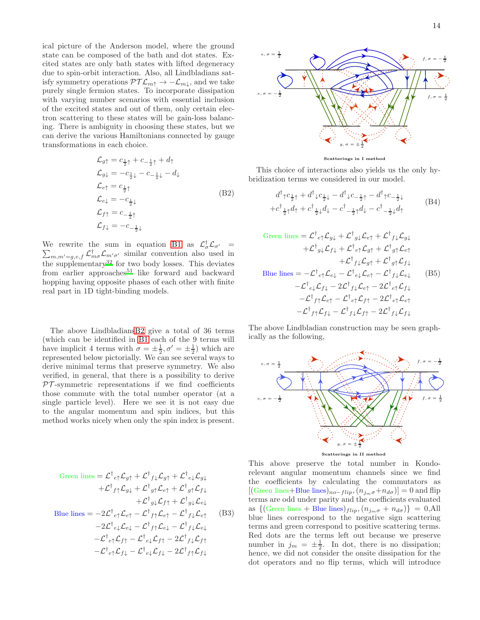ical picture of the Anderson model, where the ground state can be composed of the bath and dot states. Excited states are only bath states with lifted degeneracy due to spin-orbit interaction. Also, all Lindbladians satisfy symmetry operations  $\mathcal{PTL}_{m\uparrow} \rightarrow -\mathcal{L}_{m\downarrow}$ , and we take purely single fermion states. To incorporate dissipation with varying number scenarios with essential inclusion of the excited states and out of them, only certain electron scattering to these states will be gain-loss balancing. There is ambiguity in choosing these states, but we can derive the various Hamiltonians connected by gauge transformations in each choice.

$$
\mathcal{L}_{g\uparrow} = c_{\frac{1}{2}\uparrow} + c_{-\frac{1}{2}\uparrow} + d_{\uparrow}
$$
\n
$$
\mathcal{L}_{g\downarrow} = -c_{\frac{1}{2}\downarrow} - c_{-\frac{1}{2}\downarrow} - d_{\downarrow}
$$
\n
$$
\mathcal{L}_{e\uparrow} = c_{\frac{1}{2}\uparrow}
$$
\n
$$
\mathcal{L}_{e\downarrow} = -c_{\frac{1}{2}\downarrow}
$$
\n
$$
\mathcal{L}_{f\uparrow} = c_{-\frac{1}{2}\uparrow}
$$
\n
$$
\mathcal{L}_{f\downarrow} = -c_{-\frac{1}{2}\downarrow}
$$
\n
$$
(B2)
$$

<span id="page-13-0"></span>We rewrite the sum in equation [B1](#page-12-3) as  $\mathcal{L}_{\sigma}^{\dagger}$ We rewrite the sum in equation B1 as  $\mathcal{L}_{\sigma}^{\dagger} \mathcal{L}_{\sigma'} = \sum_{m,m'=g,e,f} \mathcal{L}_{m\sigma}^{\dagger} \mathcal{L}_{m'\sigma'}$  similar convention also used in the supplementary<sup>[32](#page-16-3)</sup> for two body losses. This deviates from earlier approaches<sup>[51](#page-16-19)</sup> like forward and backward hopping having opposite phases of each other with finite real part in 1D tight-binding models.

The above Lindbladian[sB2](#page-13-0) give a total of 36 terms (which can be identified in [B1](#page-12-3) each of the 9 terms will have implicit 4 terms with  $\sigma = \pm \frac{1}{2}, \sigma' = \pm \frac{1}{2}$  which are represented below pictorially. We can see several ways to derive minimal terms that preserve symmetry. We also verified, in general, that there is a possibility to derive  $PT$ -symmetric representations if we find coefficients those commute with the total number operator (at a single particle level). Here we see it is not easy due to the angular momentum and spin indices, but this method works nicely when only the spin index is present.

Green lines = 
$$
\mathcal{L}^{\dagger}{}_{e\uparrow}\mathcal{L}_{g\uparrow} + \mathcal{L}^{\dagger}{}_{f\downarrow}\mathcal{L}_{g\uparrow} + \mathcal{L}^{\dagger}{}_{e\downarrow}\mathcal{L}_{g\downarrow}
$$
  
\t\t\t $+ \mathcal{L}^{\dagger}{}_{f\uparrow}\mathcal{L}_{g\downarrow} + \mathcal{L}^{\dagger}{}_{g\uparrow}\mathcal{L}_{e\uparrow} + \mathcal{L}^{\dagger}{}_{g\downarrow}\mathcal{L}_{f\downarrow}$   
\t\t\t $+ \mathcal{L}^{\dagger}{}_{g\downarrow}\mathcal{L}_{f\uparrow} + \mathcal{L}^{\dagger}{}_{g\downarrow}\mathcal{L}_{e\downarrow}$   
\tBlue lines =  $-2\mathcal{L}^{\dagger}{}_{e\uparrow}\mathcal{L}_{e\uparrow} - \mathcal{L}^{\dagger}{}_{f\uparrow}\mathcal{L}_{e\uparrow} - \mathcal{L}^{\dagger}{}_{f\downarrow}\mathcal{L}_{e\uparrow}$  (B3)  
\t\t\t $-2\mathcal{L}^{\dagger}{}_{e\downarrow}\mathcal{L}_{e\downarrow} - \mathcal{L}^{\dagger}{}_{f\uparrow}\mathcal{L}_{e\downarrow} - \mathcal{L}^{\dagger}{}_{f\downarrow}\mathcal{L}_{e\downarrow}$   
\t\t\t $- \mathcal{L}^{\dagger}{}_{e\uparrow}\mathcal{L}_{f\uparrow} - \mathcal{L}^{\dagger}{}_{e\downarrow}\mathcal{L}_{f\uparrow} - 2\mathcal{L}^{\dagger}{}_{f\downarrow}\mathcal{L}_{f\uparrow}$   
\t\t\t $- \mathcal{L}^{\dagger}{}_{e\uparrow}\mathcal{L}_{f\downarrow} - \mathcal{L}^{\dagger}{}_{e\downarrow}\mathcal{L}_{f\downarrow} - 2\mathcal{L}^{\dagger}{}_{f\uparrow}\mathcal{L}_{f\downarrow}$ 



Scatterings in I method

This choice of interactions also yields us the only hybridization terms we considered in our model.

<span id="page-13-1"></span>
$$
d^{\dagger}_{\uparrow}c_{\frac{1}{2}\uparrow} + d^{\dagger}_{\downarrow}c_{\frac{1}{2}\downarrow} - d^{\dagger}_{\downarrow}c_{-\frac{1}{2}\uparrow} - d^{\dagger}_{\uparrow}c_{-\frac{1}{2}\downarrow} + c^{\dagger}_{\frac{1}{2}\uparrow}d_{\uparrow} + c^{\dagger}_{\frac{1}{2}\downarrow}d_{\downarrow} - c^{\dagger}_{-\frac{1}{2}\uparrow}d_{\downarrow} - c^{\dagger}_{-\frac{1}{2}\downarrow}d_{\uparrow}
$$
 (B4)

Green lines = 
$$
\mathcal{L}^{\dagger}{}_{e\uparrow}\mathcal{L}_{g\downarrow} + \mathcal{L}^{\dagger}{}_{g\downarrow}\mathcal{L}_{e\uparrow} + \mathcal{L}^{\dagger}{}_{f\downarrow}\mathcal{L}_{g\downarrow}
$$
  
\t\t\t $+ \mathcal{L}^{\dagger}{}_{g\downarrow}\mathcal{L}_{f\downarrow} + \mathcal{L}^{\dagger}{}_{e\uparrow}\mathcal{L}_{g\uparrow} + \mathcal{L}^{\dagger}{}_{g\uparrow}\mathcal{L}_{e\uparrow}$   
\t\t\t $+ \mathcal{L}^{\dagger}{}_{f\downarrow}\mathcal{L}_{g\uparrow} + \mathcal{L}^{\dagger}{}_{g\uparrow}\mathcal{L}_{f\downarrow}$   
\t\nBlue lines =  $-\mathcal{L}^{\dagger}{}_{e\uparrow}\mathcal{L}_{e\downarrow} - \mathcal{L}^{\dagger}{}_{e\downarrow}\mathcal{L}_{e\uparrow} - \mathcal{L}^{\dagger}{}_{f\downarrow}\mathcal{L}_{e\downarrow}$  (B5)  
\t\t\t $- \mathcal{L}^{\dagger}{}_{e\downarrow}\mathcal{L}_{f\downarrow} - 2\mathcal{L}^{\dagger}{}_{f\downarrow}\mathcal{L}_{e\uparrow} - 2\mathcal{L}^{\dagger}{}_{e\uparrow}\mathcal{L}_{f\downarrow}$   
\t\t\t $- \mathcal{L}^{\dagger}{}_{f\uparrow}\mathcal{L}_{e\uparrow} - \mathcal{L}^{\dagger}{}_{e\uparrow}\mathcal{L}_{f\uparrow} - 2\mathcal{L}^{\dagger}{}_{e\uparrow}\mathcal{L}_{e\uparrow}$   
\t\t\t $- \mathcal{L}^{\dagger}{}_{f\uparrow}\mathcal{L}_{f\downarrow} - \mathcal{L}^{\dagger}{}_{f\downarrow}\mathcal{L}_{f\uparrow} - 2\mathcal{L}^{\dagger}{}_{f\downarrow}\mathcal{L}_{f\downarrow}$ 

The above Lindbladian construction may be seen graphically as the following,



This above preserve the total number in Kondorelevant angular momentum channels since we find the coefficients by calculating the commutators as [(Green lines+Blue lines)<sub>no−flip</sub>,  $(n_{j_m\sigma}+n_{d\sigma})$ ] = 0 and flip terms are odd under parity and the coefficients evaluated as  $\{(\text{Green lines} + \text{Blue lines})_{flip}, (n_{j_m\sigma} + n_{d\sigma})\} = 0,$ All blue lines correspond to the negative sign scattering terms and green correspond to positive scattering terms. Red dots are the terms left out because we preserve number in  $j_m = \pm \frac{1}{2}$ . In dot, there is no dissipation; hence, we did not consider the onsite dissipation for the dot operators and no flip terms, which will introduce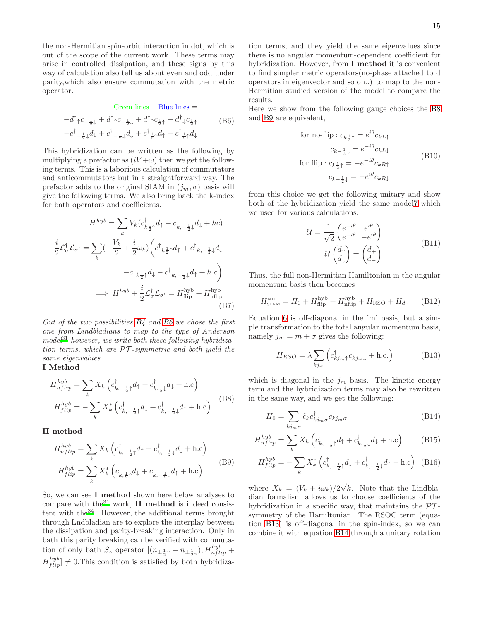the non-Hermitian spin-orbit interaction in dot, which is out of the scope of the current work. These terms may arise in controlled dissipation, and these signs by this way of calculation also tell us about even and odd under parity,which also ensure commutation with the metric operator.

<span id="page-14-0"></span>Green lines + Blue lines =  
\n
$$
-d^{\dagger}_{\uparrow}c_{-\frac{1}{2}\downarrow} + d^{\dagger}_{\uparrow}c_{-\frac{1}{2}\downarrow} + d^{\dagger}_{\uparrow}c_{\frac{1}{2}\uparrow} - d^{\dagger}_{\downarrow}c_{\frac{1}{2}\uparrow}
$$
\n
$$
-c^{\dagger}_{-\frac{1}{2}\downarrow}d_{1} + c^{\dagger}_{-\frac{1}{2}\downarrow}d_{\downarrow} + c^{\dagger}_{\frac{1}{2}\uparrow}d_{\uparrow} - c^{\dagger}_{\frac{1}{2}\uparrow}d_{\downarrow}
$$
\n(B6)

This hybridization can be written as the following by multiplying a prefactor as  $(iV + \omega)$  then we get the following terms. This is a laborious calculation of commutators and anticommutators but in a straightforward way. The prefactor adds to the original SIAM in  $(j_m, \sigma)$  basis will give the following terms. We also bring back the k-index for bath operators and coefficients.

$$
H^{hyb} = \sum_{k} V_k (c_{k\frac{1}{2}\uparrow}^{\dagger} d_{\uparrow} + c_{k,-\frac{1}{2}\downarrow}^{\dagger} d_{\downarrow} + hc)
$$

$$
\frac{i}{2} \mathcal{L}_{\sigma}^{\dagger} \mathcal{L}_{\sigma'} = \sum_{k} (-\frac{V_k}{2} + \frac{i}{2} \omega_k) \left( c_{k\frac{1}{2}\uparrow}^{\dagger} d_{\uparrow} + c_{k,-\frac{1}{2}\downarrow}^{\dagger} d_{\downarrow} + c_{k,-\frac{1}{2}\downarrow}^{\dagger} d_{\downarrow} + \omega c_{k,-\frac{1}{2}\downarrow}^{\dagger} d_{\uparrow} + hc \right)
$$

$$
\implies H^{hyb} + \frac{i}{2} \mathcal{L}_{\sigma}^{\dagger} \mathcal{L}_{\sigma'} = H_{\text{flip}}^{\text{hyb}} + H_{\text{nflip}}^{\text{hyb}}
$$
(B7)

Out of the two possibilities  $B_4$  and  $B_6$  we chose the first one from Lindbladians to map to the type of Anderson  $model^{31}$  $model^{31}$  $model^{31}$  however, we write both these following hybridization terms, which are  $\mathcal{PT}$ -symmetric and both yield the same eigenvalues.

# I Method

<span id="page-14-1"></span>
$$
H_{nflip}^{hyb} = \sum_{k} X_k \left( c_{k, +\frac{1}{2}\uparrow}^{\dagger} d_{\uparrow} + c_{k, \frac{1}{2}\downarrow}^{\dagger} d_{\downarrow} + \text{h.c} \right)
$$

$$
H_{flip}^{hyb} = -\sum_{k} X_k^* \left( c_{k, -\frac{1}{2}\uparrow}^{\dagger} d_{\downarrow} + c_{k, -\frac{1}{2}\downarrow}^{\dagger} d_{\uparrow} + \text{h.c} \right)
$$
(B8)

II method

<span id="page-14-2"></span>
$$
H_{nflip}^{hyb} = \sum_{k} X_k \left( c_{k, +\frac{1}{2}\uparrow}^{\dagger} d_{\uparrow} + c_{k, -\frac{1}{2}\downarrow}^{\dagger} d_{\downarrow} + \text{h.c} \right)
$$
  

$$
H_{flip}^{hyb} = \sum_{k} X_k^* \left( c_{k, \frac{1}{2}\uparrow}^{\dagger} d_{\downarrow} + c_{k, -\frac{1}{2}\downarrow}^{\dagger} d_{\uparrow} + \text{h.c} \right)
$$
(B9)

So, we can see I method shown here below analyses to compare with the $31$  work, II method is indeed consistent with the[34](#page-16-8). However, the additional terms brought through Lndbladian are to explore the interplay between the dissipation and parity-breaking interaction. Only in bath this parity breaking can be verified with commutation of only bath  $S_z$  operator  $[(n_{\pm \frac{1}{2}\uparrow} - n_{\pm \frac{1}{2}\downarrow}), H^{hyb}_{nflip} +$  $H_{flip}^{hyb} \neq 0$ . This condition is satisfied by both hybridization terms, and they yield the same eigenvalues since there is no angular momentum-dependent coefficient for hybridization. However, from I method it is convenient to find simpler metric operators(no-phase attached to d operators in eigenvector and so on..) to map to the non-Hermitian studied version of the model to compare the results.

Here we show from the following gauge choices the [B8](#page-14-1) and [B9](#page-14-2) are equivalent,

for no-flip: 
$$
c_{k\frac{1}{2}\uparrow} = e^{i\theta} c_{kL\uparrow}
$$
  
\n
$$
c_{k-\frac{1}{2}\downarrow} = e^{-i\theta} c_{kL\downarrow}
$$
\nfor flip:  $c_{k\frac{1}{2}\uparrow} = -e^{-i\theta} c_{kR\uparrow}$   
\n
$$
c_{k-\frac{1}{2}\downarrow} = -e^{i\theta} c_{kR\downarrow}
$$
\n(B10)

from this choice we get the following unitary and show both of the hybridization yield the same mode[l7](#page-2-1) which we used for various calculations.

$$
\mathcal{U} = \frac{1}{\sqrt{2}} \begin{pmatrix} e^{-i\theta} & e^{i\theta} \\ e^{-i\theta} & -e^{i\theta} \end{pmatrix}
$$

$$
\mathcal{U} \begin{pmatrix} d_{\uparrow} \\ d_{\downarrow} \end{pmatrix} = \begin{pmatrix} d_{+} \\ d_{-} \end{pmatrix}
$$
(B11)

Thus, the full non-Hermitian Hamiltonian in the angular momentum basis then becomes

$$
H_{\text{SIAM}}^{\text{NH}} = H_0 + H_{\text{flip}}^{\text{hyb}} + H_{\text{nflip}}^{\text{hyb}} + H_{\text{RSO}} + H_d. \tag{B12}
$$

Equation [6](#page-2-4) is off-diagonal in the 'm' basis, but a simple transformation to the total angular momentum basis, namely  $j_m = m + \sigma$  gives the following:

<span id="page-14-3"></span>
$$
H_{RSO} = \lambda \sum_{kj_m} \left( c_{kj_m \uparrow}^{\dagger} c_{kj_m \downarrow} + \text{h.c.} \right) \tag{B13}
$$

which is diagonal in the  $j_m$  basis. The kinetic energy term and the hybridization terms may also be rewritten in the same way, and we get the following:

<span id="page-14-4"></span>
$$
H_0 = \sum_{kj_m \sigma} \tilde{\epsilon}_k c_{kj_m \sigma}^\dagger c_{kj_m \sigma}
$$
 (B14)

$$
H_{nflip}^{hyb} = \sum_{k} X_k \left( c_{k, +\frac{1}{2}\uparrow}^{\dagger} d_{\uparrow} + c_{k, \frac{1}{2}\downarrow}^{\dagger} d_{\downarrow} + \text{h.c} \right) \tag{B15}
$$

$$
H_{flip}^{hyb} = -\sum_{k} X_k^* \left( c_{k, -\frac{1}{2}\uparrow}^{\dagger} d_\downarrow + c_{k, -\frac{1}{2}\downarrow}^{\dagger} d_\uparrow + \text{h.c} \right) \tag{B16}
$$

where  $X_k = (V_k + i\omega_k)/2\sqrt{k}$ . Note that the Lindbladian formalism allows us to choose coefficients of the hybridization in a specific way, that maintains the  $\mathcal{PT}$ symmetry of the Hamiltonian. The RSOC term (equation [B13\)](#page-14-3) is off-diagonal in the spin-index, so we can combine it with equation [B14](#page-14-4) through a unitary rotation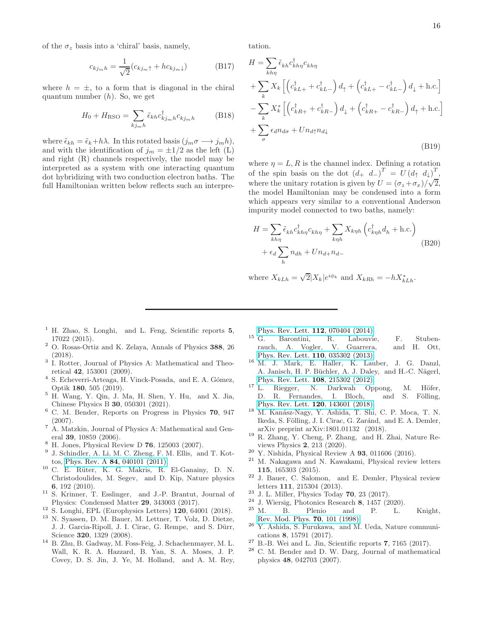of the  $\sigma_z$  basis into a 'chiral' basis, namely,

$$
c_{kj_m h} = \frac{1}{\sqrt{2}} (c_{kj_m \uparrow} + h c_{kj_m \downarrow})
$$
 (B17)

where  $h = \pm$ , to a form that is diagonal in the chiral quantum number  $(h)$ . So, we get

$$
H_0 + H_{\rm RSO} = \sum_{kj_m h} \tilde{\epsilon}_{kh} c_{kj_m h}^{\dagger} c_{kj_m h}
$$
 (B18)

where  $\tilde{\epsilon}_{kh} = \tilde{\epsilon}_k + h\lambda$ . In this rotated basis  $(j_m \sigma \longrightarrow j_m h)$ , and with the identification of  $j_m = \pm 1/2$  as the left (L) and right (R) channels respectively, the model may be interpreted as a system with one interacting quantum dot hybridizing with two conduction electron baths. The full Hamiltonian written below reflects such an interpretation.

$$
H = \sum_{kh\eta} \tilde{\epsilon}_{kh} c_{kh\eta}^{\dagger} c_{kh\eta}
$$
  
+ 
$$
\sum_{k} X_{k} \left[ \left( c_{kL+}^{\dagger} + c_{kL-}^{\dagger} \right) d_{\uparrow} + \left( c_{kL+}^{\dagger} - c_{kL-}^{\dagger} \right) d_{\downarrow} + \text{h.c.} \right]
$$
  
- 
$$
\sum_{k} X_{k}^{*} \left[ \left( c_{kR+}^{\dagger} + c_{kR-}^{\dagger} \right) d_{\downarrow} + \left( c_{kR+}^{\dagger} - c_{kR-}^{\dagger} \right) d_{\uparrow} + \text{h.c.} \right]
$$
  
+ 
$$
\sum_{\sigma} \epsilon_{d} n_{d\sigma} + U n_{d\uparrow} n_{d\downarrow}
$$
(B19)

where  $\eta = L, R$  is the channel index. Defining a rotation of the spin basis on the dot  $(d_+ d_-)^T = U(d_+ d_+)^T$ , where the unitary rotation is given by  $U = (\sigma_z + \sigma_x)/\sqrt{2}$ , the model Hamiltonian may be condensed into a form which appears very similar to a conventional Anderson impurity model connected to two baths, namely:

$$
H = \sum_{kh\eta} \tilde{\epsilon}_{kh} c_{kh\eta}^{\dagger} c_{kh\eta} + \sum_{k\eta h} X_{k\eta h} \left( c_{k\eta h}^{\dagger} d_h + \text{h.c.} \right)
$$

$$
+ \epsilon_d \sum_{h} n_{dh} + U n_{d+} n_{d-}
$$
(B20)

where  $X_{kLh} = \sqrt{2}|X_k|e^{i\phi_k}$  and  $X_{kRh} = -hX_{kLh}^*$ .

- <span id="page-15-0"></span><sup>1</sup> H. Zhao, S. Longhi, and L. Feng, Scientific reports  $5$ , 17022 (2015).
- <span id="page-15-1"></span><sup>2</sup> O. Rosas-Ortiz and K. Zelaya, Annals of Physics 388, 26 (2018).
- <span id="page-15-2"></span><sup>3</sup> I. Rotter, Journal of Physics A: Mathematical and Theoretical 42, 153001 (2009).
- <sup>4</sup> S. Echeverri-Arteaga, H. Vinck-Posada, and E. A. Gómez, Optik 180, 505 (2019).
- <span id="page-15-3"></span><sup>5</sup> H. Wang, Y. Qin, J. Ma, H. Shen, Y. Hu, and X. Jia, Chinese Physics B 30, 050301 (2021).
- <span id="page-15-4"></span><sup>6</sup> C. M. Bender, Reports on Progress in Physics 70, 947 (2007).
- <sup>7</sup> A. Matzkin, Journal of Physics A: Mathematical and General 39, 10859 (2006).
- <span id="page-15-5"></span><sup>8</sup> H. Jones, Physical Review D 76, 125003 (2007).
- <span id="page-15-6"></span>9 J. Schindler, A. Li, M. C. Zheng, F. M. Ellis, and T. Kottos, Phys. Rev. A 84[, 040101 \(2011\).](http://dx.doi.org/ 10.1103/PhysRevA.84.040101)
- $10$  C. E. Rüter, K. G. Makris, R. El-Ganainy, D. N. Christodoulides, M. Segev, and D. Kip, Nature physics 6, 192 (2010).
- <sup>11</sup> S. Krinner, T. Esslinger, and J.-P. Brantut, Journal of Physics: Condensed Matter 29, 343003 (2017).
- <span id="page-15-7"></span> $12$  S. Longhi, EPL (Europhysics Letters) 120, 64001 (2018).
- <span id="page-15-8"></span><sup>13</sup> N. Syassen, D. M. Bauer, M. Lettner, T. Volz, D. Dietze, J. J. Garcia-Ripoll, J. I. Cirac, G. Rempe, and S. Dürr, Science 320, 1329 (2008).
- <sup>14</sup> B. Zhu, B. Gadway, M. Foss-Feig, J. Schachenmayer, M. L. Wall, K. R. A. Hazzard, B. Yan, S. A. Moses, J. P. Covey, D. S. Jin, J. Ye, M. Holland, and A. M. Rey,

[Phys. Rev. Lett.](http://dx.doi.org/ 10.1103/PhysRevLett.112.070404) 112, 070404 (2014).

- <sup>15</sup> G. Barontini, R. Labouvie, F. Stubenrauch, A. Vogler, V. Guarrera, and H. Ott, [Phys. Rev. Lett.](http://dx.doi.org/ 10.1103/PhysRevLett.110.035302) 110, 035302 (2013).
- <span id="page-15-9"></span><sup>16</sup> M. J. Mark, E. Haller, K. Lauber, J. G. Danzl, A. Janisch, H. P. Büchler, A. J. Daley, and H.-C. Nägerl, [Phys. Rev. Lett.](http://dx.doi.org/10.1103/PhysRevLett.108.215302) 108, 215302 (2012).
- <span id="page-15-10"></span> $^{17}$  L. Riegger, N. Darkwah Oppong, M. Höfer, D. R. Fernandes, I. Bloch, and S. Fölling, [Phys. Rev. Lett.](http://dx.doi.org/10.1103/PhysRevLett.120.143601) 120, 143601 (2018).
- <sup>18</sup> M. Kanász-Nagy, Y. Ashida, T. Shi, C. P. Moca, T. N. Ikeda, S. Fölling, J. I. Cirac, G. Zaránd, and E. A. Demler, arXiv preprint arXiv:1801.01132 (2018).
- <sup>19</sup> R. Zhang, Y. Cheng, P. Zhang, and H. Zhai, Nature Reviews Physics 2, 213 (2020).
- <sup>20</sup> Y. Nishida, Physical Review A **93**, 011606 (2016).
- <sup>21</sup> M. Nakagawa and N. Kawakami, Physical review letters 115, 165303 (2015).
- <span id="page-15-11"></span><sup>22</sup> J. Bauer, C. Salomon, and E. Demler, Physical review letters 111, 215304 (2013).
- <span id="page-15-12"></span> $23$  J. L. Miller, Physics Today 70, 23 (2017).
- <span id="page-15-14"></span><span id="page-15-13"></span>
- $^{24}$  J. Wiersig, Photonics Research 8, 1457 (2020).<br> $^{25}$  M. B. Plenio and P. L.  $2^5$  M. B. Plenio and P. L. Knight, [Rev. Mod. Phys.](http://dx.doi.org/10.1103/RevModPhys.70.101) 70, 101 (1998).
- <span id="page-15-15"></span><sup>26</sup> Y. Ashida, S. Furukawa, and M. Ueda, Nature communications 8, 15791 (2017).
- <span id="page-15-16"></span> $27$  B.-B. Wei and L. Jin, Scientific reports 7, 7165 (2017).
- <span id="page-15-17"></span><sup>28</sup> C. M. Bender and D. W. Darg, Journal of mathematical physics 48, 042703 (2007).